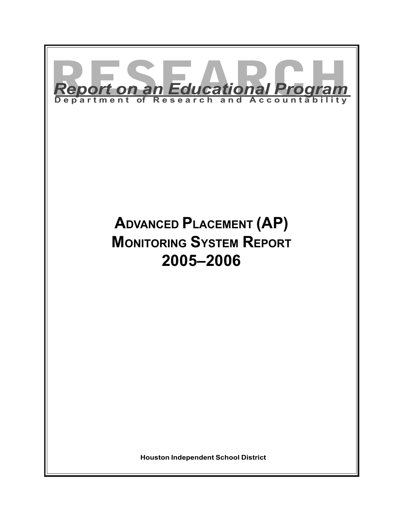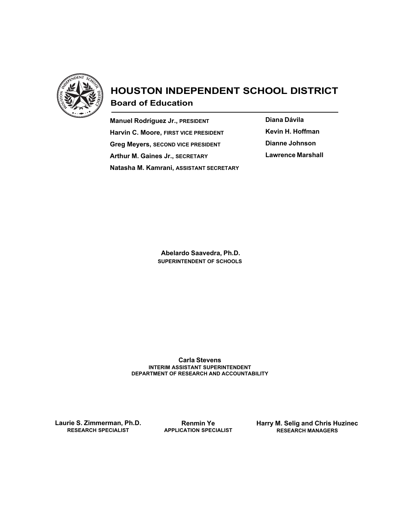

# HOUSTON INDEPENDENT SCHOOL DISTRICT Board of Education

Manuel Rodríguez Jr., PRESIDENT Harvin C. Moore, FIRST VICE PRESIDENT Greg Meyers, SECOND VICE PRESIDENT Arthur M. Gaines Jr., SECRETARY Natasha M. Kamrani, ASSISTANT SECRETARY Diana Dávila Kevin H. Hoffman Dianne Johnson Lawrence Marshall

 Abelardo Saavedra, Ph.D. SUPERINTENDENT OF SCHOOLS

Carla Stevens INTERIM ASSISTANT SUPERINTENDENT DEPARTMENT OF RESEARCH AND ACCOUNTABILITY

Laurie S. Zimmerman, Ph.D. RESEARCH SPECIALIST

Renmin Ye APPLICATION SPECIALIST Harry M. Selig and Chris Huzinec RESEARCH MANAGERS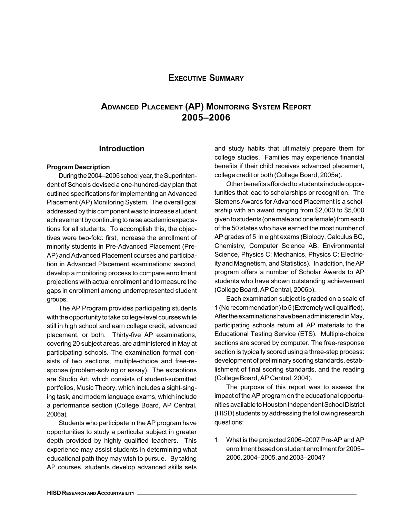## EXECUTIVE SUMMARY

# ADVANCED PLACEMENT (AP) MONITORING SYSTEM REPORT 2005–2006

#### Introduction

#### Program Description

During the 2004–2005 school year, the Superintendent of Schools devised a one-hundred-day plan that outlined specifications for implementing an Advanced Placement (AP) Monitoring System. The overall goal addressed by this component was to increase student achievement by continuing to raise academic expectations for all students. To accomplish this, the objectives were two-fold: first, increase the enrollment of minority students in Pre-Advanced Placement (Pre-AP) and Advanced Placement courses and participation in Advanced Placement examinations; second, develop a monitoring process to compare enrollment projections with actual enrollment and to measure the gaps in enrollment among underrepresented student groups.

The AP Program provides participating students with the opportunity to take college-level courses while still in high school and earn college credit, advanced placement, or both. Thirty-five AP examinations, covering 20 subject areas, are administered in May at participating schools. The examination format consists of two sections, multiple-choice and free-response (problem-solving or essay). The exceptions are Studio Art, which consists of student-submitted portfolios, Music Theory, which includes a sight-singing task, and modern language exams, which include a performance section (College Board, AP Central, 2006a).

Students who participate in the AP program have opportunities to study a particular subject in greater depth provided by highly qualified teachers. This experience may assist students in determining what educational path they may wish to pursue. By taking AP courses, students develop advanced skills sets

and study habits that ultimately prepare them for college studies. Families may experience financial benefits if their child receives advanced placement, college credit or both (College Board, 2005a).

Other benefits afforded to students include opportunities that lead to scholarships or recognition. The Siemens Awards for Advanced Placement is a scholarship with an award ranging from \$2,000 to \$5,000 given to students (one male and one female) from each of the 50 states who have earned the most number of AP grades of 5 in eight exams (Biology, Calculus BC, Chemistry, Computer Science AB, Environmental Science, Physics C: Mechanics, Physics C: Electricity and Magnetism, and Statistics). In addition, the AP program offers a number of Scholar Awards to AP students who have shown outstanding achievement (College Board, AP Central, 2006b).

Each examination subject is graded on a scale of 1 (No recommendation) to 5 (Extremely well qualified). After the examinations have been administered in May, participating schools return all AP materials to the Educational Testing Service (ETS). Multiple-choice sections are scored by computer. The free-response section is typically scored using a three-step process: development of preliminary scoring standards, establishment of final scoring standards, and the reading (College Board, AP Central, 2004).

The purpose of this report was to assess the impact of the AP program on the educational opportunities available to Houston Independent School District (HISD) students by addressing the following research questions:

1. What is the projected 2006–2007 Pre-AP and AP enrollment based on student enrollment for 2005– 2006, 2004–2005, and 2003–2004?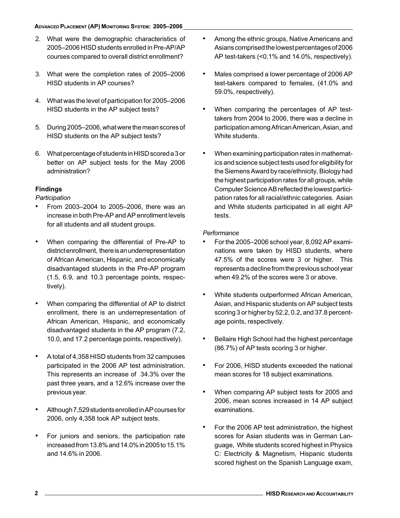- 2. What were the demographic characteristics of 2005–2006 HISD students enrolled in Pre-AP/AP courses compared to overall district enrollment?
- 3. What were the completion rates of 2005–2006 HISD students in AP courses?
- 4. What was the level of participation for 2005–2006 HISD students in the AP subject tests?
- 5. During 2005–2006, what were the mean scores of HISD students on the AP subject tests?
- 6. What percentage of students in HISD scored a 3 or better on AP subject tests for the May 2006 administration?

### Findings

**Participation** 

- From 2003–2004 to 2005–2006, there was an increase in both Pre-AP and AP enrollment levels for all students and all student groups.
- When comparing the differential of Pre-AP to district enrollment, there is an underrepresentation of African American, Hispanic, and economically disadvantaged students in the Pre-AP program (1.5, 6.9, and 10.3 percentage points, respectively).
- When comparing the differential of AP to district enrollment, there is an underrepresentation of African American, Hispanic, and economically disadvantaged students in the AP program (7.2, 10.0, and 17.2 percentage points, respectively).
- A total of 4,358 HISD students from 32 campuses participated in the 2006 AP test administration. This represents an increase of 34.3% over the past three years, and a 12.6% increase over the previous year.
- Although 7,529 students enrolled in AP courses for 2006, only 4,358 took AP subject tests.
- For juniors and seniors, the participation rate increased from 13.8% and 14.0% in 2005 to 15.1% and 14.6% in 2006.
- Among the ethnic groups, Native Americans and Asians comprised the lowest percentages of 2006 AP test-takers (<0.1% and 14.0%, respectively).
- Males comprised a lower percentage of 2006 AP test-takers compared to females, (41.0% and 59.0%, respectively).
- When comparing the percentages of AP testtakers from 2004 to 2006, there was a decline in participation among African American, Asian, and White students.
- When examining participation rates in mathematics and science subject tests used for eligibility for the Siemens Award by race/ethnicity, Biology had the highest participation rates for all groups, while Computer Science AB reflected the lowest participation rates for all racial/ethnic categories. Asian and White students participated in all eight AP tests.

### **Performance**

- For the 2005–2006 school year, 8,092 AP examinations were taken by HISD students, where 47.5% of the scores were 3 or higher. This represents a decline from the previous school year when 49.2% of the scores were 3 or above.
- White students outperformed African American, Asian, and Hispanic students on AP subject tests scoring 3 or higher by 52.2, 0.2, and 37.8 percentage points, respectively.
- Bellaire High School had the highest percentage (86.7%) of AP tests scoring 3 or higher.
- For 2006, HISD students exceeded the national mean scores for 18 subject examinations.
- When comparing AP subject tests for 2005 and 2006, mean scores increased in 14 AP subject examinations.
- For the 2006 AP test administration, the highest scores for Asian students was in German Language, White students scored highest in Physics C: Electricity & Magnetism, Hispanic students scored highest on the Spanish Language exam,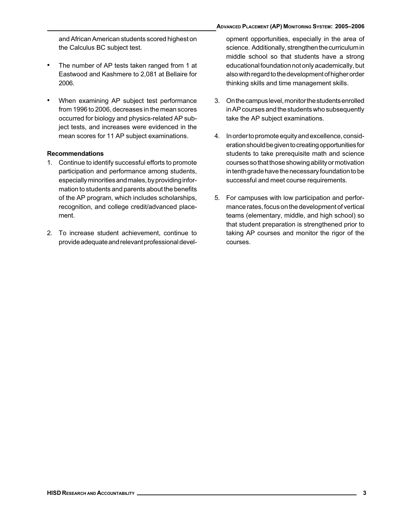and African American students scored highest on the Calculus BC subject test.

- The number of AP tests taken ranged from 1 at Eastwood and Kashmere to 2,081 at Bellaire for 2006.
- When examining AP subject test performance from 1996 to 2006, decreases in the mean scores occurred for biology and physics-related AP subject tests, and increases were evidenced in the mean scores for 11 AP subject examinations.

#### Recommendations

- 1. Continue to identify successful efforts to promote participation and performance among students, especially minorities and males, by providing information to students and parents about the benefits of the AP program, which includes scholarships, recognition, and college credit/advanced placement.
- 2. To increase student achievement, continue to provide adequate and relevant professional devel-

opment opportunities, especially in the area of science. Additionally, strengthen the curriculum in middle school so that students have a strong educational foundation not only academically, but also with regard to the development of higher order thinking skills and time management skills.

- 3. On the campus level, monitor the students enrolled in AP courses and the students who subsequently take the AP subject examinations.
- 4. In order to promote equity and excellence, consideration should be given to creating opportunities for students to take prerequisite math and science courses so that those showing ability or motivation in tenth grade have the necessary foundation to be successful and meet course requirements.
- 5. For campuses with low participation and performance rates, focus on the development of vertical teams (elementary, middle, and high school) so that student preparation is strengthened prior to taking AP courses and monitor the rigor of the courses.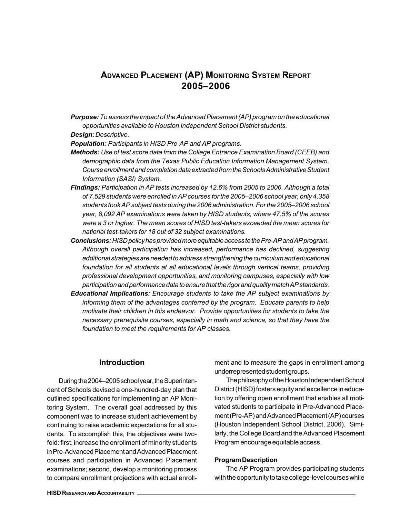# ADVANCED PLACEMENT (AP) MONITORING SYSTEM REPORT 2005–2006

**Purpose:** To assess the impact of the Advanced Placement (AP) program on the educational opportunities available to Houston Independent School District students.

Design: Descriptive.

Population: Participants in HISD Pre-AP and AP programs.

- Methods: Use of test score data from the College Entrance Examination Board (CEEB) and demographic data from the Texas Public Education Information Management System. Course enrollment and completion data extracted from the Schools Administrative Student Information (SASI) System.
- Findings: Participation in AP tests increased by 12.6% from 2005 to 2006. Although a total of 7,529 students were enrolled in AP courses for the 2005–2006 school year, only 4,358 students took AP subject tests during the 2006 administration. For the 2005–2006 school year, 8,092 AP examinations were taken by HISD students, where 47.5% of the scores were a 3 or higher. The mean scores of HISD test-takers exceeded the mean scores for national test-takers for 18 out of 32 subject examinations.
- Conclusions: HISD policy has provided more equitable access to the Pre-AP and AP program. Although overall participation has increased, performance has declined, suggesting additional strategies are needed to address strengthening the curriculum and educational foundation for all students at all educational levels through vertical teams, providing professional development opportunities, and monitoring campuses, especially with low participation and performance data to ensure that the rigor and quality match AP standards.
- Educational Implications: Encourage students to take the AP subject examinations by informing them of the advantages conferred by the program. Educate parents to help motivate their children in this endeavor. Provide opportunities for students to take the necessary prerequisite courses, especially in math and science, so that they have the foundation to meet the requirements for AP classes.

#### **Introduction**

During the 2004–2005 school year, the Superintendent of Schools devised a one-hundred-day plan that outlined specifications for implementing an AP Monitoring System. The overall goal addressed by this component was to increase student achievement by continuing to raise academic expectations for all students. To accomplish this, the objectives were twofold: first, increase the enrollment of minority students in Pre-Advanced Placement and Advanced Placement courses and participation in Advanced Placement examinations; second, develop a monitoring process to compare enrollment projections with actual enroll-

ment and to measure the gaps in enrollment among underrepresented student groups.

The philosophy of the Houston Independent School District (HISD) fosters equity and excellence in education by offering open enrollment that enables all motivated students to participate in Pre-Advanced Placement (Pre-AP) and Advanced Placement (AP) courses (Houston Independent School District, 2006). Similarly, the College Board and the Advanced Placement Program encourage equitable access.

#### Program Description

The AP Program provides participating students with the opportunity to take college-level courses while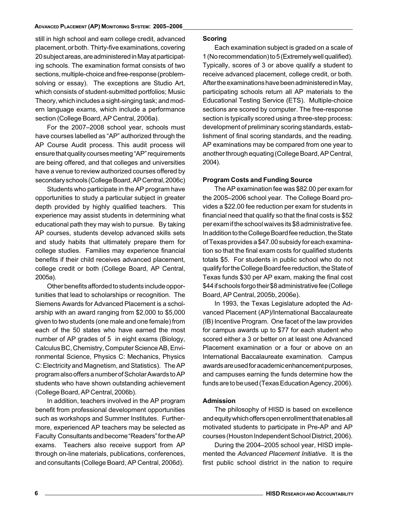still in high school and earn college credit, advanced placement, or both. Thirty-five examinations, covering 20 subject areas, are administered in May at participating schools. The examination format consists of two sections, multiple-choice and free-response (problemsolving or essay). The exceptions are Studio Art, which consists of student-submitted portfolios; Music Theory, which includes a sight-singing task; and modern language exams, which include a performance section (College Board, AP Central, 2006a).

For the 2007–2008 school year, schools must have courses labelled as "AP" authorized through the AP Course Audit process. This audit process will ensure that quality courses meeting "AP" requirements are being offered, and that colleges and universities have a venue to review authorized courses offered by secondary schools (College Board, AP Central, 2006c)

Students who participate in the AP program have opportunities to study a particular subject in greater depth provided by highly qualified teachers. This experience may assist students in determining what educational path they may wish to pursue. By taking AP courses, students develop advanced skills sets and study habits that ultimately prepare them for college studies. Families may experience financial benefits if their child receives advanced placement, college credit or both (College Board, AP Central, 2005a).

Other benefits afforded to students include opportunities that lead to scholarships or recognition. The Siemens Awards for Advanced Placement is a scholarship with an award ranging from \$2,000 to \$5,000 given to two students (one male and one female) from each of the 50 states who have earned the most number of AP grades of 5 in eight exams (Biology, Calculus BC, Chemistry, Computer Science AB, Environmental Science, Physics C: Mechanics, Physics C: Electricity and Magnetism, and Statistics). The AP program also offers a number of Scholar Awards to AP students who have shown outstanding achievement (College Board, AP Central, 2006b).

In addition, teachers involved in the AP program benefit from professional development opportunities such as workshops and Summer Institutes. Furthermore, experienced AP teachers may be selected as Faculty Consultants and become "Readers" for the AP exams. Teachers also receive support from AP through on-line materials, publications, conferences, and consultants (College Board, AP Central, 2006d).

#### Scoring

Each examination subject is graded on a scale of 1 (No recommendation) to 5 (Extremely well qualified). Typically, scores of 3 or above qualify a student to receive advanced placement, college credit, or both. After the examinations have been administered in May, participating schools return all AP materials to the Educational Testing Service (ETS). Multiple-choice sections are scored by computer. The free-response section is typically scored using a three-step process: development of preliminary scoring standards, establishment of final scoring standards, and the reading. AP examinations may be compared from one year to another through equating (College Board, AP Central, 2004).

#### Program Costs and Funding Source

The AP examination fee was \$82.00 per exam for the 2005–2006 school year. The College Board provides a \$22.00 fee reduction per exam for students in financial need that qualify so that the final costs is \$52 per exam if the school waives its \$8 administrative fee. In addition to the College Board fee reduction, the State of Texas provides a \$47.00 subsidy for each examination so that the final exam costs for qualified students totals \$5. For students in public school who do not qualify for the College Board fee reduction, the State of Texas funds \$30 per AP exam, making the final cost \$44 if schools forgo their \$8 administrative fee (College Board, AP Central, 2005b, 2006e).

In 1993, the Texas Legislature adopted the Advanced Placement (AP)/International Baccalaureate (IB) Incentive Program. One facet of the law provides for campus awards up to \$77 for each student who scored either a 3 or better on at least one Advanced Placement examination or a four or above on an International Baccalaureate examination. Campus awards are used for academic enhancement purposes, and campuses earning the funds determine how the funds are to be used (Texas Education Agency, 2006).

#### Admission

The philosophy of HISD is based on excellence and equity which offers open enrollment that enables all motivated students to participate in Pre-AP and AP courses (Houston Independent School District, 2006).

During the 2004–2005 school year, HISD implemented the Advanced Placement Initiative. It is the first public school district in the nation to require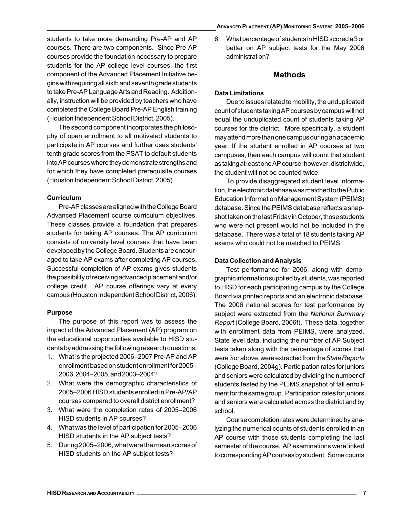#### ADVANCED PLACEMENT (AP) MONITORING SYSTEM: 2005–2006

students to take more demanding Pre-AP and AP courses. There are two components. Since Pre-AP courses provide the foundation necessary to prepare students for the AP college level courses, the first component of the Advanced Placement Initiative begins with requiring all sixth and seventh grade students to take Pre-AP Language Arts and Reading. Additionally, instruction will be provided by teachers who have completed the College Board Pre-AP English training (Houston Independent School District, 2005).

The second component incorporates the philosophy of open enrollment to all motivated students to participate in AP courses and further uses students' tenth grade scores from the PSAT to default students into AP courses where they demonstrate strengths and for which they have completed prerequisite courses (Houston Independent School District, 2005).

#### **Curriculum**

Pre-AP classes are aligned with the College Board Advanced Placement course curriculum objectives. These classes provide a foundation that prepares students for taking AP courses. The AP curriculum consists of university level courses that have been developed by the College Board. Students are encouraged to take AP exams after completing AP courses. Successful completion of AP exams gives students the possibility of receiving advanced placement and/or college credit. AP course offerings vary at every campus (Houston Independent School District, 2006).

#### Purpose

The purpose of this report was to assess the impact of the Advanced Placement (AP) program on the educational opportunities available to HISD students by addressing the following research questions:

- 1. What is the projected 2006–2007 Pre-AP and AP enrollment based on student enrollment for 2005– 2006, 2004–2005, and 2003–2004?
- 2. What were the demographic characteristics of 2005–2006 HISD students enrolled in Pre-AP/AP courses compared to overall district enrollment?
- 3. What were the completion rates of 2005–2006 HISD students in AP courses?
- 4. What was the level of participation for 2005–2006 HISD students in the AP subject tests?
- 5. During 2005–2006, what were the mean scores of HISD students on the AP subject tests?

6. What percentage of students in HISD scored a 3 or better on AP subject tests for the May 2006 administration?

### Methods

#### Data Limitations

Due to issues related to mobility, the unduplicated count of students taking AP courses by campus will not equal the unduplicated count of students taking AP courses for the district. More specifically, a student may attend more than one campus during an academic year. If the student enrolled in AP courses at two campuses, then each campus will count that student as taking at least one AP course; however, districtwide, the student will not be counted twice.

To provide disaggregated student level information, the electronic database was matched to the Public Education Information Management System (PEIMS) database. Since the PEIMS database reflects a snapshot taken on the last Friday in October, those students who were not present would not be included in the database. There was a total of 18 students taking AP exams who could not be matched to PEIMS.

#### Data Collection and Analysis

Test performance for 2006, along with demographic information supplied by students, was reported to HISD for each participating campus by the College Board via printed reports and an electronic database. The 2006 national scores for test performance by subject were extracted from the National Summary Report (College Board, 2006f). These data, together with enrollment data from PEIMS, were analyzed. State level data, including the number of AP Subject tests taken along with the percentage of scores that were 3 or above, were extracted from the State Reports (College Board, 2004g). Participation rates for juniors and seniors were calculated by dividing the number of students tested by the PEIMS snapshot of fall enrollment for the same group. Participation rates for juniors and seniors were calculated across the district and by school.

Course completion rates were determined by analyzing the numerical counts of students enrolled in an AP course with those students completing the last semester of the course. AP examinations were linked to corresponding AP courses by student. Some counts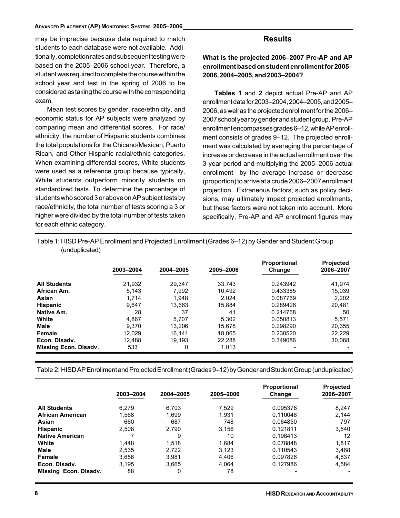#### ADVANCED PLACEMENT (AP) MONITORING SYSTEM: 2005–2006

may be imprecise because data required to match students to each database were not available. Additionally, completion rates and subsequent testing were based on the 2005–2006 school year. Therefore, a student was required to complete the course within the school year and test in the spring of 2006 to be considered as taking the course with the corresponding exam.

Mean test scores by gender, race/ethnicity, and economic status for AP subjects were analyzed by comparing mean and differential scores. For race/ ethnicity, the number of Hispanic students combines the total populations for the Chicano/Mexican, Puerto Rican, and Other Hispanic racial/ethnic categories. When examining differential scores, White students were used as a reference group because typically, White students outperform minority students on standardized tests. To determine the percentage of students who scored 3 or above on AP subject tests by race/ethnicity, the total number of tests scoring a 3 or higher were divided by the total number of tests taken for each ethnic category.

### **Results**

What is the projected 2006–2007 Pre-AP and AP enrollment based on student enrollment for 2005– 2006, 2004–2005, and 2003–2004?

Tables 1 and 2 depict actual Pre-AP and AP enrollment data for 2003–2004, 2004–2005, and 2005– 2006, as well as the projected enrollment for the 2006– 2007 school year by gender and student group. Pre-AP enrollment encompasses grades 6–12, while AP enrollment consists of grades 9–12. The projected enrollment was calculated by averaging the percentage of increase or decrease in the actual enrollment over the 3-year period and multiplying the 2005–2006 actual enrollment by the average increase or decrease (proportion) to arrive at a crude 2006–2007 enrollment projection. Extraneous factors, such as policy decisions, may ultimately impact projected enrollments, but these factors were not taken into account. More specifically, Pre-AP and AP enrollment figures may

Table 1: HISD Pre-AP Enrollment and Projected Enrollment (Grades 6–12) by Gender and Student Group (unduplicated)

|                              | 2003-2004 | 2004-2005 | 2005-2006 | Proportional<br>Change | <b>Projected</b><br>2006-2007 |
|------------------------------|-----------|-----------|-----------|------------------------|-------------------------------|
| <b>All Students</b>          | 21,932    | 29.347    | 33.743    | 0.243942               | 41,974                        |
| African Am.                  | 5.143     | 7.992     | 10.492    | 0.433385               | 15,039                        |
| Asian                        | 1.714     | 1.948     | 2.024     | 0.087769               | 2.202                         |
| <b>Hispanic</b>              | 9,647     | 13,663    | 15,884    | 0.289426               | 20,481                        |
| Native Am.                   | 28        | 37        | 41        | 0.214768               | 50                            |
| White                        | 4.867     | 5.707     | 5.302     | 0.050813               | 5.571                         |
| <b>Male</b>                  | 9.370     | 13.206    | 15.678    | 0.298290               | 20.355                        |
| Female                       | 12.029    | 16.141    | 18.065    | 0.230520               | 22.229                        |
| Econ. Disadv.                | 12.488    | 19.193    | 22.288    | 0.349086               | 30.068                        |
| <b>Missing Econ. Disadv.</b> | 533       | 0         | 1.013     |                        |                               |

Table 2: HISD AP Enrollment and Projected Enrollment (Grades 9–12) by Gender and Student Group (unduplicated)

|                         | 2003-2004 | 2004-2005 | 2005-2006 | Proportional<br>Change | <b>Projected</b><br>2006-2007 |
|-------------------------|-----------|-----------|-----------|------------------------|-------------------------------|
| <b>All Students</b>     | 6.279     | 6.703     | 7,529     | 0.095378               | 8,247                         |
| <b>African American</b> | 1,568     | 1.699     | 1.931     | 0.110048               | 2.144                         |
| Asian                   | 660       | 687       | 748       | 0.064850               | 797                           |
| <b>Hispanic</b>         | 2,508     | 2.790     | 3,156     | 0.121811               | 3.540                         |
| <b>Native American</b>  |           | 9         | 10        | 0.198413               | 12                            |
| White                   | 1.448     | 1.518     | 1.684     | 0.078848               | 1,817                         |
| <b>Male</b>             | 2.535     | 2.722     | 3.123     | 0.110543               | 3.468                         |
| Female                  | 3,656     | 3,981     | 4,406     | 0.097826               | 4,837                         |
| Econ. Disadv.           | 3.195     | 3.665     | 4.064     | 0.127986               | 4,584                         |
| Missing Econ. Disadv.   | 88        | 0         | 78        |                        |                               |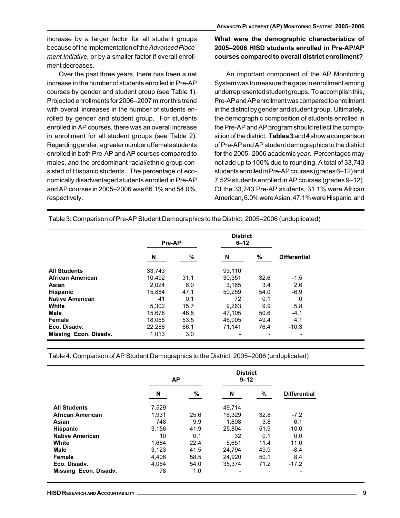increase by a larger factor for all student groups because of the implementation of the Advanced Placement Initiative, or by a smaller factor if overall enrollment decreases.

Over the past three years, there has been a net increase in the number of students enrolled in Pre-AP courses by gender and student group (see Table 1). Projected enrollments for 2006–2007 mirror this trend with overall increases in the number of students enrolled by gender and student group. For students enrolled in AP courses, there was an overall increase in enrollment for all student groups (see Table 2). Regarding gender, a greater number of female students enrolled in both Pre-AP and AP courses compared to males, and the predominant racial/ethnic group consisted of Hispanic students. The percentage of economically disadvantaged students enrolled in Pre-AP and AP courses in 2005–2006 was 66.1% and 54.0%, respectively.

### What were the demographic characteristics of 2005–2006 HISD students enrolled in Pre-AP/AP courses compared to overall district enrollment?

An important component of the AP Monitoring System was to measure the gaps in enrollment among underrepresented student groups. To accomplish this, Pre-AP and AP enrollment was compared to enrollment in the district by gender and student group. Ultimately, the demographic composition of students enrolled in the Pre-AP and AP program should reflect the composition of the district. Tables 3 and 4 show a comparison of Pre-AP and AP student demographics to the district for the 2005–2006 academic year. Percentages may not add up to 100% due to rounding. A total of 33,743 students enrolled in Pre-AP courses (grades 6–12) and 7,529 students enrolled in AP courses (grades 9–12). Of the 33,743 Pre-AP students, 31.1% were African American, 6.0% were Asian, 47.1% were Hispanic, and

Table 3: Comparison of Pre-AP Student Demographics to the District, 2005–2006 (unduplicated)

|                        |             | <b>District</b><br>$6 - 12$<br>Pre-AP |        |      |                     |
|------------------------|-------------|---------------------------------------|--------|------|---------------------|
|                        | $\mathbf N$ | %                                     | N      | %    | <b>Differential</b> |
| <b>All Students</b>    | 33,743      |                                       | 93,110 |      |                     |
| African American       | 10,492      | 31.1                                  | 30,351 | 32.6 | $-1.5$              |
| Asian                  | 2,024       | 6.0                                   | 3,165  | 3.4  | 2.6                 |
| <b>Hispanic</b>        | 15,884      | 47.1                                  | 50.259 | 54.0 | $-6.9$              |
| <b>Native American</b> | 41          | 0.1                                   | 72     | 0.1  | 0                   |
| White                  | 5,302       | 15.7                                  | 9,263  | 9.9  | 5.8                 |
| <b>Male</b>            | 15,678      | 46.5                                  | 47.105 | 50.6 | $-4.1$              |
| <b>Female</b>          | 18,065      | 53.5                                  | 46.005 | 49.4 | 4.1                 |
| Eco. Disadv.           | 22,288      | 66.1                                  | 71,141 | 76.4 | $-10.3$             |
| Missing Econ. Disadv.  | 1,013       | 3.0                                   |        |      | $\blacksquare$      |

Table 4: Comparison of AP Student Demographics to the District, 2005–2006 (unduplicated)

|                         | <b>AP</b> |      |        | <b>District</b><br>$9 - 12$ |                     |  |
|-------------------------|-----------|------|--------|-----------------------------|---------------------|--|
|                         | N         | %    | N      | %                           | <b>Differential</b> |  |
| <b>All Students</b>     | 7,529     |      | 49,714 |                             |                     |  |
| <b>African American</b> | 1.931     | 25.6 | 16.329 | 32.8                        | $-7.2$              |  |
| Asian                   | 748       | 9.9  | 1.898  | 3.8                         | 6.1                 |  |
| Hispanic                | 3.156     | 41.9 | 25.804 | 51.9                        | $-10.0$             |  |
| <b>Native American</b>  | 10        | 0.1  | 32     | 0.1                         | 0.0                 |  |
| White                   | 1.684     | 22.4 | 5.651  | 11.4                        | 11.0                |  |
| <b>Male</b>             | 3.123     | 41.5 | 24.794 | 49.9                        | $-8.4$              |  |
| Female                  | 4,406     | 58.5 | 24.920 | 50.1                        | 8.4                 |  |
| Eco. Disadv.            | 4.064     | 54.0 | 35.374 | 71.2                        | $-17.2$             |  |
| Missing Econ. Disadv.   | 78        | 1.0  |        |                             |                     |  |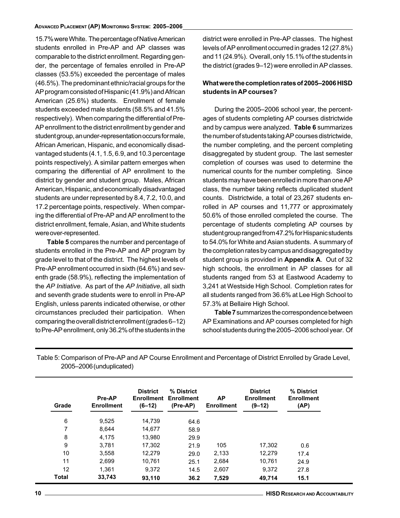#### ADVANCED PLACEMENT (AP) MONITORING SYSTEM: 2005–2006

15.7% were White. The percentage of Native American students enrolled in Pre-AP and AP classes was comparable to the district enrollment. Regarding gender, the percentage of females enrolled in Pre-AP classes (53.5%) exceeded the percentage of males (46.5%). The predominant ethnic/racial groups for the AP program consisted of Hispanic (41.9%) and African American (25.6%) students. Enrollment of female students exceeded male students (58.5% and 41.5% respectively). When comparing the differential of Pre-AP enrollment to the district enrollment by gender and student group, an under-representation occurs for male, African American, Hispanic, and economically disadvantaged students (4.1, 1.5, 6.9, and 10.3 percentage points respectively). A similar pattern emerges when comparing the differential of AP enrollment to the district by gender and student group. Males, African American, Hispanic, and economically disadvantaged students are under represented by 8.4, 7.2, 10.0, and 17.2 percentage points, respectively. When comparing the differential of Pre-AP and AP enrollment to the district enrollment, female, Asian, and White students were over-represented.

Table 5 compares the number and percentage of students enrolled in the Pre-AP and AP program by grade level to that of the district. The highest levels of Pre-AP enrollment occurred in sixth (64.6%) and seventh grade (58.9%), reflecting the implementation of the AP Initiative. As part of the AP Initiative, all sixth and seventh grade students were to enroll in Pre-AP English, unless parents indicated otherwise, or other circumstances precluded their participation. When comparing the overall district enrollment (grades 6–12) to Pre-AP enrollment, only 36.2% of the students in the district were enrolled in Pre-AP classes. The highest levels of AP enrollment occurred in grades 12 (27.8%) and 11 (24.9%). Overall, only 15.1% of the students in the district (grades 9–12) were enrolled in AP classes.

#### What were the completion rates of 2005–2006 HISD students in AP courses?

During the 2005–2006 school year, the percentages of students completing AP courses districtwide and by campus were analyzed. Table 6 summarizes the number of students taking AP courses districtwide, the number completing, and the percent completing disaggregated by student group. The last semester completion of courses was used to determine the numerical counts for the number completing. Since students may have been enrolled in more than one AP class, the number taking reflects duplicated student counts. Districtwide, a total of 23,267 students enrolled in AP courses and 11,777 or approximately 50.6% of those enrolled completed the course. The percentage of students completing AP courses by student group ranged from 47.2% for Hispanic students to 54.0% for White and Asian students. A summary of the completion rates by campus and disaggregated by student group is provided in Appendix A. Out of 32 high schools, the enrollment in AP classes for all students ranged from 53 at Eastwood Academy to 3,241 at Westside High School. Completion rates for all students ranged from 36.6% at Lee High School to 57.3% at Bellaire High School.

Table 7 summarizes the correspondence between AP Examinations and AP courses completed for high school students during the 2005–2006 school year. Of

Table 5: Comparison of Pre-AP and AP Course Enrollment and Percentage of District Enrolled by Grade Level, 2005–2006 (unduplicated)

| Grade        | Pre-AP<br><b>Enrollment</b> | <b>District</b><br><b>Enrollment</b><br>(6–12) | % District<br><b>Enrollment</b><br>(Pre-AP) | <b>AP</b><br><b>Enrollment</b> | <b>District</b><br><b>Enrollment</b><br>(9–12) | % District<br><b>Enrollment</b><br>(AP) |
|--------------|-----------------------------|------------------------------------------------|---------------------------------------------|--------------------------------|------------------------------------------------|-----------------------------------------|
| 6            | 9,525                       | 14.739                                         | 64.6                                        |                                |                                                |                                         |
| 7            | 8.644                       | 14,677                                         | 58.9                                        |                                |                                                |                                         |
| 8            | 4.175                       | 13.980                                         | 29.9                                        |                                |                                                |                                         |
| 9            | 3.781                       | 17.302                                         | 21.9                                        | 105                            | 17,302                                         | 0.6                                     |
| 10           | 3.558                       | 12.279                                         | 29.0                                        | 2,133                          | 12,279                                         | 17.4                                    |
| 11           | 2.699                       | 10.761                                         | 25.1                                        | 2,684                          | 10,761                                         | 24.9                                    |
| 12           | 1.361                       | 9.372                                          | 14.5                                        | 2,607                          | 9.372                                          | 27.8                                    |
| <b>Total</b> | 33,743                      | 93.110                                         | 36.2                                        | 7.529                          | 49,714                                         | 15.1                                    |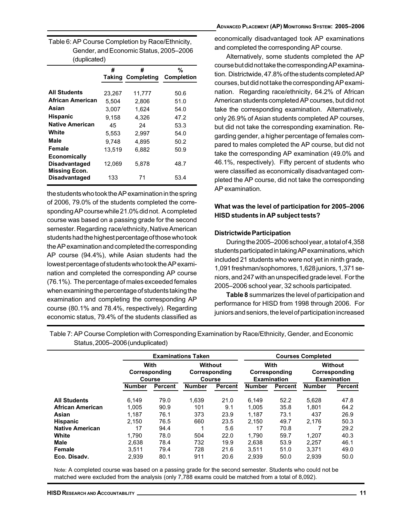| Table 6: AP Course Completion by Race/Ethnicity, |
|--------------------------------------------------|
| Gender, and Economic Status, 2005–2006           |
| (duplicated)                                     |

|                                              | #      | #                        | %                 |  |  |  |
|----------------------------------------------|--------|--------------------------|-------------------|--|--|--|
|                                              |        | <b>Taking Completing</b> | <b>Completion</b> |  |  |  |
|                                              |        |                          |                   |  |  |  |
| <b>All Students</b>                          | 23,267 | 11,777                   | 50.6              |  |  |  |
| African American                             | 5.504  | 2,806                    | 51.0              |  |  |  |
| Asian                                        | 3.007  | 1.624                    | 54.0              |  |  |  |
| <b>Hispanic</b>                              | 9,158  | 4,326                    | 47.2              |  |  |  |
| <b>Native American</b>                       | 45     | 24                       | 53.3              |  |  |  |
| White                                        | 5.553  | 2.997                    | 54.0              |  |  |  |
| Male                                         | 9,748  | 4,895                    | 50.2              |  |  |  |
| Female                                       | 13.519 | 6.882                    | 50.9              |  |  |  |
| <b>Economically</b>                          |        |                          |                   |  |  |  |
| <b>Disadvantaged</b>                         | 12,069 | 5,878                    | 48.7              |  |  |  |
| <b>Missing Econ.</b><br><b>Disadvantaged</b> | 133    | 71                       | 53.4              |  |  |  |

the students who took the AP examination in the spring of 2006, 79.0% of the students completed the corresponding AP course while 21.0% did not. A completed course was based on a passing grade for the second semester. Regarding race/ethnicity, Native American students had the highest percentage of those who took the AP examination and completed the corresponding AP course (94.4%), while Asian students had the lowest percentage of students who took the AP examination and completed the corresponding AP course (76.1%). The percentage of males exceeded females when examining the percentage of students taking the examination and completing the corresponding AP course (80.1% and 78.4%, respectively). Regarding economic status, 79.4% of the students classified as

#### ADVANCED PLACEMENT (AP) MONITORING SYSTEM: 2005–2006

economically disadvantaged took AP examinations and completed the corresponding AP course.

Alternatively, some students completed the AP course but did not take the corresponding AP examination. Districtwide, 47.8% of the students completed AP courses, but did not take the corresponding AP examination. Regarding race/ethnicity, 64.2% of African American students completed AP courses, but did not take the corresponding examination. Alternatively, only 26.9% of Asian students completed AP courses, but did not take the corresponding examination. Regarding gender, a higher percentage of females compared to males completed the AP course, but did not take the corresponding AP examination (49.0% and 46.1%, respectively). Fifty percent of students who were classified as economically disadvantaged completed the AP course, did not take the corresponding AP examination.

#### What was the level of participation for 2005–2006 HISD students in AP subject tests?

#### Districtwide Participation

During the 2005–2006 school year, a total of 4,358 students participated in taking AP examinations, which included 21 students who were not yet in ninth grade, 1,091 freshman/sophomores, 1,628 juniors, 1,371 seniors, and 247 with an unspecified grade level. For the 2005–2006 school year, 32 schools participated.

Table 8 summarizes the level of participation and performance for HISD from 1998 through 2006. For juniors and seniors, the level of participation increased

**Examinations Taken Courses Completed With** Corresponding Course Without Corresponding Course **With** Corresponding Examination Without Corresponding Examination **Number Percent Number Percent Number Percent Number** Percent **All Students** 6.149 79.0 1,639 21.0 6,149 -5,628 8 47.8 African Amer 1,005 90.9 101 9.1 1,005 35.8 1,801 - Asian 1,187 76.1 373 23.9 1,187 73.1 437 6.9 **Hispanic** 2,150 76.5 660 3.5 2 2,150 49.7  $7$  2,176 50. 50.3 **Native American** 17 94. 4 1 5. 5.6 17 70.8 8 7 2  $9.2$ **White** 1,790 78.0 504 2. 1,790 59.7 1.207 07 40.3 **Male** 2,638 78.4 732 19.9  $9$  2,638 53. 9 2,2 57 46.1 **Female** 3,511 79.4 728 8 21. 3,511 51.0 3,371 49.0 Eco. Disadv. 2,939 80.1 911 20.6 6 2,939 50.  $0$  2,939 50. 50.0

Table 7: AP Course Completion with Corresponding Examination by Race/Ethnicity, Gender, and Economic Status,2005–2006 (unduplicated)

Note: A completed course was based on a passing grade for the second semester. Students who could not be matched were excluded from the analysis (only 7,788 exams could be matched from a total of 8,092).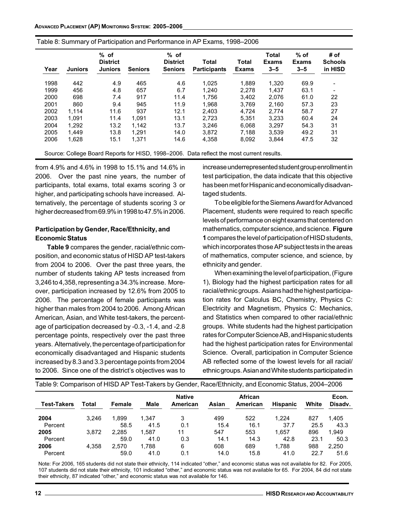| Table 8: Summary of Participation and Performance in AP Exams, 1998-2006 |  |  |  |  |
|--------------------------------------------------------------------------|--|--|--|--|
|--------------------------------------------------------------------------|--|--|--|--|

| Year | <b>Juniors</b> | $%$ of<br><b>District</b><br><b>Juniors</b> | <b>Seniors</b> | $%$ of<br><b>District</b><br><b>Seniors</b> | Total<br><b>Participants</b> | Total<br><b>Exams</b> | <b>Total</b><br><b>Exams</b><br>$3 - 5$ | $%$ of<br><b>Exams</b><br>$3 - 5$ | # of<br><b>Schools</b><br>in HISD |
|------|----------------|---------------------------------------------|----------------|---------------------------------------------|------------------------------|-----------------------|-----------------------------------------|-----------------------------------|-----------------------------------|
| 1998 | 442            | 4.9                                         | 465            | 4.6                                         | 1.025                        | 1.889                 | 1,320                                   | 69.9                              | $\overline{ }$                    |
| 1999 | 456            | 4.8                                         | 657            | 6.7                                         | 1.240                        | 2.278                 | 1,437                                   | 63.1                              |                                   |
| 2000 | 698            | 7.4                                         | 917            | 11.4                                        | 1.756                        | 3.402                 | 2.076                                   | 61.0                              | 22                                |
| 2001 | 860            | 9.4                                         | 945            | 11.9                                        | 1.968                        | 3.769                 | 2,160                                   | 57.3                              | 23                                |
| 2002 | 1.114          | 11.6                                        | 937            | 12.1                                        | 2.403                        | 4.724                 | 2.774                                   | 58.7                              | 27                                |
| 2003 | 1.091          | 11.4                                        | 1.091          | 13.1                                        | 2,723                        | 5,351                 | 3.233                                   | 60.4                              | 24                                |
| 2004 | 1.292          | 13.2                                        | 1.142          | 13.7                                        | 3.246                        | 6.068                 | 3.297                                   | 54.3                              | 31                                |
| 2005 | 1.449          | 13.8                                        | 1.291          | 14.0                                        | 3.872                        | 7,188                 | 3.539                                   | 49.2                              | 31                                |
| 2006 | 1,628          | 15.1                                        | 1.371          | 14.6                                        | 4.358                        | 8.092                 | 3.844                                   | 47.5                              | 32                                |

Source: College Board Reports for HISD, 1998–2006. Data reflect the most current results.

from 4.9% and 4.6% in 1998 to 15.1% and 14.6% in 2006. Over the past nine years, the number of participants, total exams, total exams scoring 3 or higher, and participating schools have increased. Alternatively, the percentage of students scoring 3 or higher decreased from 69.9% in 1998 to 47.5% in 2006.

#### Participation by Gender, Race/Ethnicity, and Economic Status

Table 9 compares the gender, racial/ethnic composition, and economic status of HISD AP test-takers from 2004 to 2006. Over the past three years, the number of students taking AP tests increased from 3,246 to 4,358, representing a 34.3% increase. Moreover, participation increased by 12.6% from 2005 to 2006. The percentage of female participants was higher than males from 2004 to 2006. Among African American, Asian, and White test-takers, the percentage of participation decreased by -0.3, -1.4, and -2.8 percentage points, respectively over the past three years. Alternatively, the percentage of participation for economically disadvantaged and Hispanic students increased by 8.3 and 3.3 percentage points from 2004 to 2006. Since one of the district's objectives was to

increase underrepresented student group enrollment in test participation, the data indicate that this objective has been met for Hispanic and economically disadvantaged students.

To be eligible for the Siemens Award for Advanced Placement, students were required to reach specific levels of performance on eight exams that centered on mathematics, computer science, and science. Figure 1 compares the level of participation of HISD students, which incorporates those AP subject tests in the areas of mathematics, computer science, and science, by ethnicity and gender.

When examining the level of participation, (Figure 1), Biology had the highest participation rates for all racial/ethnic groups. Asians had the highest participation rates for Calculus BC, Chemistry, Physics C: Electricity and Magnetism, Physics C: Mechanics, and Statistics when compared to other racial/ethnic groups. White students had the highest participation rates for Computer Science AB, and Hispanic students had the highest participation rates for Environmental Science. Overall, participation in Computer Science AB reflected some of the lowest levels for all racial/ ethnic groups. Asian and White students participated in

| Table 9: Comparison of HISD AP Test-Takers by Gender, Race/Ethnicity, and Economic Status, 2004–2006 |       |               |               |                           |             |                     |               |             |                  |
|------------------------------------------------------------------------------------------------------|-------|---------------|---------------|---------------------------|-------------|---------------------|---------------|-------------|------------------|
| <b>Test-Takers</b>                                                                                   | Total | <b>Female</b> | Male          | <b>Native</b><br>American | Asian       | African<br>American | Hispanic      | White       | Econ.<br>Disady. |
| 2004<br>Percent                                                                                      | 3.246 | 1.899<br>58.5 | 1.347<br>41.5 | 3<br>0.1                  | 499<br>15.4 | 522<br>16.1         | 1.224<br>37.7 | 827<br>25.5 | 1.405<br>43.3    |
| 2005<br>Percent                                                                                      | 3.872 | 2.285<br>59.0 | 1.587<br>41.0 | 11<br>0.3                 | 547<br>14.1 | 553<br>14.3         | 1.657<br>42.8 | 896<br>23.1 | 1.949<br>50.3    |
| 2006                                                                                                 | 4.358 | 2.570         | 1.788         | 6                         | 608         | 689                 | 1.788         | 988         | 2.250            |
| Percent                                                                                              |       | 59.0          | 41.0          | 0.1                       | 14.0        | 15.8                | 41.0          | 22.7        | 51.6             |

Note: For 2006, 165 students did not state their ethnicity, 114 indicated "other," and economic status was not available for 82. For 2005, 107 students did not state their ethnicity, 101 indicated "other," and economic status was not available for 65. For 2004, 84 did not state their ethnicity, 87 indicated "other," and economic status was not available for 146.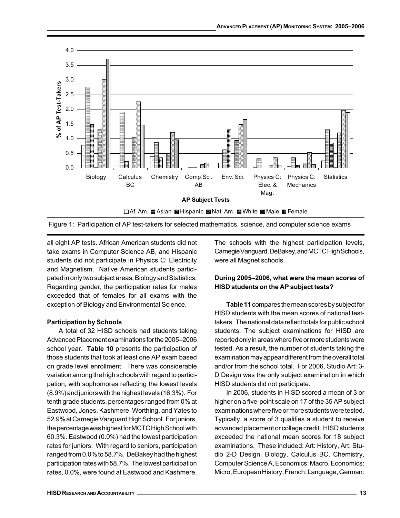





all eight AP tests. African American students did not take exams in Computer Science AB, and Hispanic students did not participate in Physics C: Electricity and Magnetism. Native American students participated in only two subject areas, Biology and Statistics. Regarding gender, the participation rates for males exceeded that of females for all exams with the exception of Biology and Environmental Science.

#### Participation by Schools

A total of 32 HISD schools had students taking Advanced Placement examinations for the 2005–2006 school year. Table 10 presents the participation of those students that took at least one AP exam based on grade level enrollment. There was considerable variation among the high schools with regard to participation, with sophomores reflecting the lowest levels (8.9%) and juniors with the highest levels (16.3%). For tenth grade students, percentages ranged from 0% at Eastwood, Jones, Kashmere, Worthing, and Yates to 52.9% at Carnegie Vanguard High School. For juniors, the percentage was highest for MCTC High School with 60.3%. Eastwood (0.0%) had the lowest participation rates for juniors. With regard to seniors, participation ranged from 0.0% to 58.7%. DeBakey had the highest participation rates with 58.7%. The lowest participation rates, 0.0%, were found at Eastwood and Kashmere.

The schools with the highest participation levels, Carnegie Vanguard, DeBakey, and MCTC High Schools, were all Magnet schools.

#### During 2005–2006, what were the mean scores of HISD students on the AP subject tests?

Table 11 compares the mean scores by subject for HISD students with the mean scores of national testtakers. The national data reflect totals for public school students. The subject examinations for HISD are reported only in areas where five or more students were tested. As a result, the number of students taking the examination may appear different from the overall total and/or from the school total. For 2006, Studio Art: 3- D Design was the only subject examination in which HISD students did not participate.

In 2006, students in HISD scored a mean of 3 or higher on a five-point scale on 17 of the 35 AP subject examinations where five or more students were tested. Typically, a score of 3 qualifies a student to receive advanced placement or college credit. HISD students exceeded the national mean scores for 18 subject examinations. These included: Art: History, Art: Studio 2-D Design, Biology, Calculus BC, Chemistry, Computer Science A, Economics: Macro, Economics: Micro, European History, French: Language, German: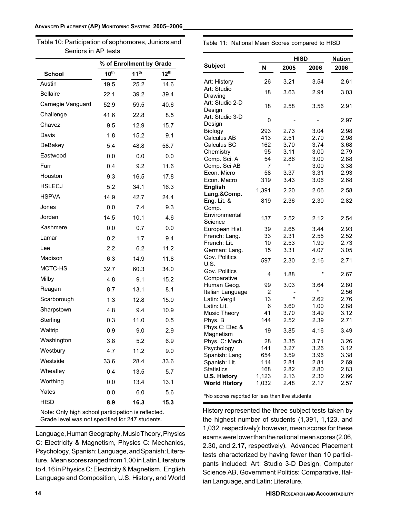Table 10: Participation of sophomores, Juniors and Seniors in AP tests

|  |  |  |  | Table 11: National Mean Scores compared to HISD |  |  |
|--|--|--|--|-------------------------------------------------|--|--|
|--|--|--|--|-------------------------------------------------|--|--|

|                   | % of Enrollment by Grade |                  |                  |  |  |  |
|-------------------|--------------------------|------------------|------------------|--|--|--|
| <b>School</b>     | 10 <sup>th</sup>         | 11 <sup>th</sup> | 12 <sup>th</sup> |  |  |  |
| Austin            | 19.5                     | 25.2             | 14.6             |  |  |  |
| <b>Bellaire</b>   | 22.1                     | 39.2             | 39.4             |  |  |  |
| Carnegie Vanguard | 52.9                     | 59.5             | 40.6             |  |  |  |
| Challenge         | 41.6                     | 22.8             | 8.5              |  |  |  |
| Chavez            | 9.5                      | 12.9             | 15.7             |  |  |  |
| Davis             | 1.8                      | 15.2             | 9.1              |  |  |  |
| DeBakey           | 5.4                      | 48.8             | 58.7             |  |  |  |
| Eastwood          | 0.0                      | 0.0              | 0.0              |  |  |  |
| Furr              | 0.4                      | 9.2              | 11.6             |  |  |  |
| Houston           | 9.3                      | 16.5             | 17.8             |  |  |  |
| <b>HSLECJ</b>     | 5.2                      | 34.1             | 16.3             |  |  |  |
| <b>HSPVA</b>      | 14.9                     | 42.7             | 24.4             |  |  |  |
| Jones             | 0.0                      | 7.4              | 9.3              |  |  |  |
| Jordan            | 14.5                     | 10.1             | 4.6              |  |  |  |
| Kashmere          | 0.0                      | 0.7              | 0.0              |  |  |  |
| Lamar             | 0.2                      | 1.7              | 9.4              |  |  |  |
| Lee               | 2.2                      | 6.2              | 11.2             |  |  |  |
| Madison           | 6.3                      | 14.9             | 11.8             |  |  |  |
| MCTC-HS           | 32.7                     | 60.3             | 34.0             |  |  |  |
| Milby             | 4.8                      | 9.1              | 15.2             |  |  |  |
| Reagan            | 8.7                      | 13.1             | 8.1              |  |  |  |
| Scarborough       | 1.3                      | 12.8             | 15.0             |  |  |  |
| Sharpstown        | 4.8                      | 9.4              | 10.9             |  |  |  |
| Sterling          | 0.3                      | 11.0             | 0.5              |  |  |  |
| Waltrip           | 0.9                      | 9.0              | 2.9              |  |  |  |
| Washington        | 3.8                      | 5.2              | 6.9              |  |  |  |
| Westbury          | 4.7                      | 11.2             | 9.0              |  |  |  |
| Westside          | 33.6                     | 28.4             | 33.6             |  |  |  |
| Wheatley          | 0.4                      | 13.5             | 5.7              |  |  |  |
| Worthing          | 0.0                      | 13.4             | 13.1             |  |  |  |
| Yates             | 0.0                      | 6.0              | 5.6              |  |  |  |
| HISD              | 8.9                      | 16.3             | 15.3             |  |  |  |

Note: Only high school participation is reflected. Grade level was not specified for 247 students.

Language, Human Geography, Music Theory, Physics C: Electricity & Magnetism, Physics C: Mechanics, Psychology, Spanish: Language, and Spanish: Literature. Mean scores ranged from 1.00 in Latin Literature to 4.16 in Physics C: Electricity & Magnetism. English Language and Composition, U.S. History, and World

|                           |       | <b>HISD</b> |         |      |  |  |
|---------------------------|-------|-------------|---------|------|--|--|
| Subject                   | N     | 2005        | 2006    | 2006 |  |  |
| Art: History              | 26    | 3.21        | 3.54    | 2.61 |  |  |
| Art: Studio               | 18    | 3.63        | 2.94    | 3.03 |  |  |
| Drawing                   |       |             |         |      |  |  |
| Art: Studio 2-D<br>Design | 18    | 2.58        | 3.56    | 2.91 |  |  |
| Art: Studio 3-D<br>Design | 0     |             |         | 2.97 |  |  |
| Biology                   | 293   | 2.73        | 3.04    | 2.98 |  |  |
| Calculus AB               | 413   | 2.51        | 2.70    | 2.98 |  |  |
| Calculus BC               | 162   | 3.70        | 3.74    | 3.68 |  |  |
| Chemistry                 | 95    | 3.11        | 3.00    | 2.79 |  |  |
| Comp. Sci. A              | 54    | 2.86        | 3.00    | 2.88 |  |  |
| Comp. Sci AB              | 7     | *           | 3.00    | 3.38 |  |  |
| Econ. Micro               | 58    | 3.37        | 3.31    | 2.93 |  |  |
| Econ. Macro               | 319   | 3.43        | 3.06    | 2.68 |  |  |
| English                   | 1,391 |             | 2.06    | 2.58 |  |  |
| Lang.&Comp.               |       | 2.20        |         |      |  |  |
| Eng. Lit. &               | 819   | 2.36        | 2.30    | 2.82 |  |  |
| Comp.                     |       |             |         |      |  |  |
| Environmental             | 137   | 2.52        | 2.12    | 2.54 |  |  |
| Science                   |       |             |         |      |  |  |
| European Hist.            | 39    | 2.65        | 3.44    | 2.93 |  |  |
| French: Lang.             | 33    | 2.31        | 2.55    | 2.52 |  |  |
| French: Lit.              | 10    | 2.53        | 1.90    | 2.73 |  |  |
| German: Lang.             | 15    | 3.31        | 4.07    | 3.05 |  |  |
| Gov. Politics             | 597   | 2.30        | 2.16    | 2.71 |  |  |
| U.S.                      |       |             |         |      |  |  |
| Gov. Politics             | 4     | 1.88        | $\star$ | 2.67 |  |  |
| Comparative               |       |             |         |      |  |  |
| Human Geog.               | 99    | 3.03        | 3.64    | 2.80 |  |  |
| ltalian Language          | 2     |             | $\star$ | 2.56 |  |  |
| Latin: Vergil             | 13    | $\star$     | 2.62    | 2.76 |  |  |
| ∟atin: Lit.               | 6     | 3.60        | 1.00    | 2.88 |  |  |
| Music Theory              | 41    | 3.70        | 3.49    | 3.12 |  |  |
| Phys. B                   | 144   | 2.52        | 2.39    | 2.71 |  |  |
| Phys.C: Elec &            |       |             |         |      |  |  |
| Magnetism                 | 19    | 3.85        | 4.16    | 3.49 |  |  |
| Phys. C: Mech.            | 28    | 3.35        | 3.71    | 3.26 |  |  |
| Psychology                | 141   | 3.27        | 3.26    | 3.12 |  |  |
| Spanish: Lang             | 654   | 3.59        | 3.96    | 3.38 |  |  |
| Spanish: Lit.             | 114   | 2.81        | 2.81    | 2.69 |  |  |
| <b>Statistics</b>         | 168   | 2.82        | 2.80    | 2.83 |  |  |
| <b>U.S. History</b>       | 1,123 | 2.13        | 2.30    | 2.66 |  |  |
| <b>World History</b>      | 1,032 | 2.48        | 2.17    | 2.57 |  |  |
|                           |       |             |         |      |  |  |

\*No scores reported for less than five students

History represented the three subject tests taken by the highest number of students (1,391, 1,123, and 1,032, respectively); however, mean scores for these exams were lower than the national mean scores (2.06, 2.30, and 2.17, respectively). Advanced Placement tests characterized by having fewer than 10 participants included: Art: Studio 3-D Design, Computer Science AB, Government Politics: Comparative, Italian Language, and Latin: Literature.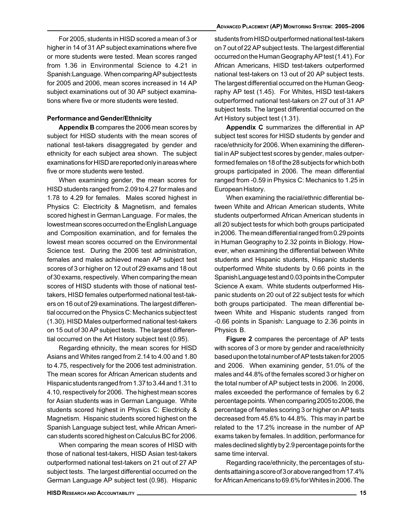For 2005, students in HISD scored a mean of 3 or higher in 14 of 31 AP subject examinations where five or more students were tested. Mean scores ranged from 1.36 in Environmental Science to 4.21 in Spanish:Language. When comparing AP subject tests for 2005 and 2006, mean scores increased in 14 AP subject examinations out of 30 AP subject examinations where five or more students were tested.

#### Performance and Gender/Ethnicity

Appendix B compares the 2006 mean scores by subject for HISD students with the mean scores of national test-takers disaggregated by gender and ethnicity for each subject area shown. The subject examinations for HISD are reported only in areas where five or more students were tested.

When examining gender, the mean scores for HISD students ranged from 2.09 to 4.27 for males and 1.78 to 4.29 for females. Males scored highest in Physics C: Electricity & Magnetism, and females scored highest in German Language. For males, the lowest mean scores occurred on the English Language and Composition examination, and for females the lowest mean scores occurred on the Environmental Science test. During the 2006 test administration, females and males achieved mean AP subject test scores of 3 or higher on 12 out of 29 exams and 18 out of 30 exams, respectively. When comparing the mean scores of HISD students with those of national testtakers, HISD females outperformed national test-takers on 16 out of 29 examinations. The largest differential occurred on the Physics C: Mechanics subject test (1.30). HISD Males outperformed national test-takers on 15 out of 30 AP subject tests. The largest differential occurred on the Art History subject test (0.95).

Regarding ethnicity, the mean scores for HISD Asians and Whites ranged from 2.14 to 4.00 and 1.80 to 4.75, respectively for the 2006 test administration. The mean scores for African American students and Hispanic students ranged from 1.37 to 3.44 and 1.31 to 4.10, respectively for 2006. The highest mean scores for Asian students was in German Language. White students scored highest in Physics C: Electricity & Magnetism. Hispanic students scored highest on the Spanish Language subject test, while African American students scored highest on Calculus BC for 2006.

When comparing the mean scores of HISD with those of national test-takers, HISD Asian test-takers outperformed national test-takers on 21 out of 27 AP subject tests. The largest differential occurred on the German Language AP subject test (0.98). Hispanic

students from HISD outperformed national test-takers on 7 out of 22 AP subject tests. The largest differential occurred on the Human Geography AP test (1.41). For African Americans, HISD test-takers outperformed national test-takers on 13 out of 20 AP subject tests. The largest differential occurred on the Human Geography AP test (1.45). For Whites, HISD test-takers outperformed national test-takers on 27 out of 31 AP subject tests. The largest differential occurred on the Art History subject test (1.31).

Appendix C summarizes the differential in AP subject test scores for HISD students by gender and race/ethnicity for 2006. When examining the differential in AP subject test scores by gender, males outperformed females on 18 of the 28 subjects for which both groups participated in 2006. The mean differential ranged from -0.59 in Physics C: Mechanics to 1.25 in European History.

When examining the racial/ethnic differential between White and African American students, White students outperformed African American students in all 20 subject tests for which both groups participated in 2006. The mean differential ranged from 0.29 points in Human Geography to 2.32 points in Biology. However, when examining the differential between White students and Hispanic students, Hispanic students outperformed White students by 0.66 points in the Spanish Language test and 0.03 points in the Computer Science A exam. White students outperformed Hispanic students on 20 out of 22 subject tests for which both groups participated. The mean differential between White and Hispanic students ranged from -0.66 points in Spanish: Language to 2.36 points in Physics B.

Figure 2 compares the percentage of AP tests with scores of 3 or more by gender and race/ethnicity based upon the total number of AP tests taken for 2005 and 2006. When examining gender, 51.0% of the males and 44.8% of the females scored 3 or higher on the total number of AP subject tests in 2006. In 2006, males exceeded the performance of females by 6.2 percentage points. When comparing 2005 to 2006, the percentage of females scoring 3 or higher on AP tests decreased from 45.6% to 44.8%. This may in part be related to the 17.2% increase in the number of AP exams taken by females. In addition, performance for males declined slightly by 2.9 percentage points for the same time interval.

Regarding race/ethnicity, the percentages of students attaining a score of 3 or above ranged from 17.4% for African Americans to 69.6% for Whites in 2006. The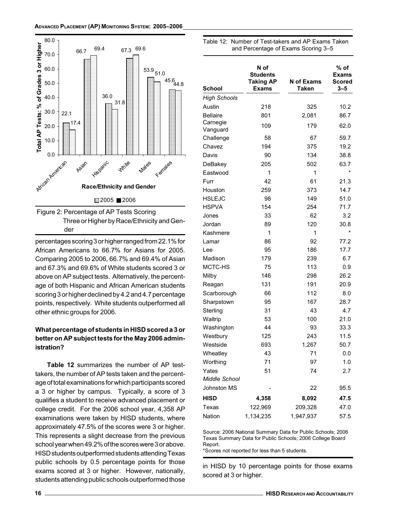

der

percentages scoring 3 or higher ranged from 22.1% for African Americans to 66.7% for Asians for 2005. Comparing 2005 to 2006, 66.7% and 69.4% of Asian and 67.3% and 69.6% of White students scored 3 or above on AP subject tests. Alternatively, the percentage of both Hispanic and African American students scoring 3 or higher declined by 4.2 and 4.7 percentage points, respectively. White students outperformed all other ethnic groups for 2006.

### What percentage of students in HISD scored a 3 or better on AP subject tests for the May 2006 administration?

Table 12 summarizes the number of AP testtakers, the number of AP tests taken and the percentage of total examinations for which participants scored a 3 or higher by campus. Typically, a score of 3 qualifies a student to receive advanced placement or college credit. For the 2006 school year, 4,358 AP examinations were taken by HISD students, where approximately 47.5% of the scores were 3 or higher. This represents a slight decrease from the previous school year when 49.2% of the scores were 3 or above. HISD students outperformed students attending Texas public schools by 0.5 percentage points for those exams scored at 3 or higher. However, nationally, students attending public schools outperformed those

| N of<br><b>Students</b><br><b>Taking AP</b><br><b>Exams</b> | N of Exams<br><b>Taken</b>                                                                                                                                                  | % of<br><b>Exams</b><br>Scored<br>$3 - 5$                                                                                                                                                   |
|-------------------------------------------------------------|-----------------------------------------------------------------------------------------------------------------------------------------------------------------------------|---------------------------------------------------------------------------------------------------------------------------------------------------------------------------------------------|
|                                                             |                                                                                                                                                                             |                                                                                                                                                                                             |
| 218                                                         | 325                                                                                                                                                                         | 10.2                                                                                                                                                                                        |
| 801                                                         | 2,081                                                                                                                                                                       | 86.7                                                                                                                                                                                        |
| 109                                                         | 179                                                                                                                                                                         | 62.0                                                                                                                                                                                        |
|                                                             |                                                                                                                                                                             |                                                                                                                                                                                             |
|                                                             |                                                                                                                                                                             | 59.7                                                                                                                                                                                        |
|                                                             |                                                                                                                                                                             | 19.2                                                                                                                                                                                        |
|                                                             |                                                                                                                                                                             | 38.8                                                                                                                                                                                        |
|                                                             |                                                                                                                                                                             | 63.7<br>$\star$                                                                                                                                                                             |
|                                                             |                                                                                                                                                                             |                                                                                                                                                                                             |
|                                                             |                                                                                                                                                                             | 21.3                                                                                                                                                                                        |
|                                                             |                                                                                                                                                                             | 14.7                                                                                                                                                                                        |
|                                                             |                                                                                                                                                                             | 51.0                                                                                                                                                                                        |
|                                                             |                                                                                                                                                                             | 71.7                                                                                                                                                                                        |
|                                                             |                                                                                                                                                                             | 3.2                                                                                                                                                                                         |
|                                                             |                                                                                                                                                                             | 30.8<br>$\star$                                                                                                                                                                             |
|                                                             |                                                                                                                                                                             |                                                                                                                                                                                             |
|                                                             |                                                                                                                                                                             | 77.2                                                                                                                                                                                        |
|                                                             |                                                                                                                                                                             | 17.7                                                                                                                                                                                        |
|                                                             |                                                                                                                                                                             | 6.7                                                                                                                                                                                         |
|                                                             |                                                                                                                                                                             | 0.9                                                                                                                                                                                         |
|                                                             |                                                                                                                                                                             | 26.2                                                                                                                                                                                        |
|                                                             |                                                                                                                                                                             | 20.9                                                                                                                                                                                        |
|                                                             |                                                                                                                                                                             | 8.0                                                                                                                                                                                         |
|                                                             |                                                                                                                                                                             | 28.7                                                                                                                                                                                        |
|                                                             |                                                                                                                                                                             | 4.7                                                                                                                                                                                         |
|                                                             |                                                                                                                                                                             | 21.0                                                                                                                                                                                        |
|                                                             |                                                                                                                                                                             | 33.3                                                                                                                                                                                        |
|                                                             |                                                                                                                                                                             | 11.5                                                                                                                                                                                        |
|                                                             |                                                                                                                                                                             | 50.7                                                                                                                                                                                        |
|                                                             |                                                                                                                                                                             | 0.0                                                                                                                                                                                         |
|                                                             |                                                                                                                                                                             | 1.0                                                                                                                                                                                         |
|                                                             |                                                                                                                                                                             | 2.7                                                                                                                                                                                         |
|                                                             |                                                                                                                                                                             | 95.5                                                                                                                                                                                        |
| 4,358                                                       | 8,092                                                                                                                                                                       | 47.5                                                                                                                                                                                        |
| 122,969                                                     | 209,328                                                                                                                                                                     | 47.0                                                                                                                                                                                        |
| 1,134,235                                                   | 1,947,937                                                                                                                                                                   | 57.5                                                                                                                                                                                        |
|                                                             | 58<br>194<br>90<br>205<br>1<br>42<br>259<br>98<br>154<br>33<br>89<br>1<br>86<br>95<br>179<br>75<br>146<br>131<br>66<br>95<br>31<br>53<br>44<br>125<br>693<br>43<br>71<br>51 | 67<br>375<br>134<br>502<br>1<br>61<br>373<br>149<br>254<br>62<br>120<br>1<br>92<br>186<br>239<br>113<br>298<br>191<br>112<br>167<br>43<br>100<br>93<br>243<br>1,267<br>71<br>97<br>74<br>22 |

Source: 2006 National Summary Data for Public Schools; 2006 Texas Summary Data for Public Schools; 2006 College Board Report.

\*Scores not reported for less than 5 students.

in HISD by 10 percentage points for those exams scored at 3 or higher.

Table 12: Number of Test-takers and AP Exams Taken and Percentage of Exams Scoring 3-5

 $\overline{a}$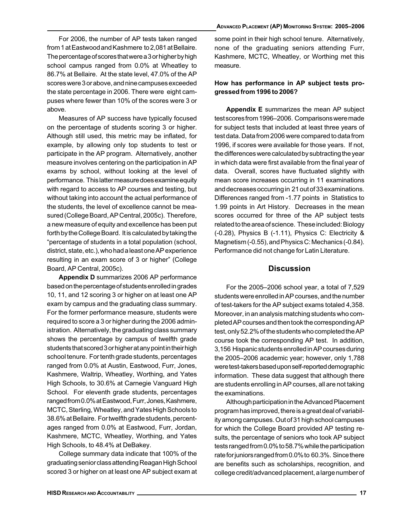For 2006, the number of AP tests taken ranged from 1 at Eastwood and Kashmere to 2,081 at Bellaire. The percentage of scores that were a 3 or higher by high school campus ranged from 0.0% at Wheatley to 86.7% at Bellaire. At the state level, 47.0% of the AP scores were 3 or above, and nine campuses exceeded the state percentage in 2006. There were eight campuses where fewer than 10% of the scores were 3 or above.

Measures of AP success have typically focused on the percentage of students scoring 3 or higher. Although still used, this metric may be inflated, for example, by allowing only top students to test or participate in the AP program. Alternatively, another measure involves centering on the participation in AP exams by school, without looking at the level of performance. This latter measure does examine equity with regard to access to AP courses and testing, but without taking into account the actual performance of the students, the level of excellence cannot be measured (College Board, AP Central, 2005c). Therefore, a new measure of equity and excellence has been put forth by the College Board. It is calculated by taking the "percentage of students in a total population (school, district, state, etc.), who had a least one AP experience resulting in an exam score of 3 or higher" (College Board, AP Central, 2005c).

Appendix D summarizes 2006 AP performance based on the percentage of students enrolled in grades 10, 11, and 12 scoring 3 or higher on at least one AP exam by campus and the graduating class summary. For the former performance measure, students were required to score a 3 or higher during the 2006 administration. Alternatively, the graduating class summary shows the percentage by campus of twelfth grade students that scored 3 or higher at any point in their high school tenure. For tenth grade students, percentages ranged from 0.0% at Austin, Eastwood, Furr, Jones, Kashmere, Waltrip, Wheatley, Worthing, and Yates High Schools, to 30.6% at Carnegie Vanguard High School. For eleventh grade students, percentages ranged from 0.0% at Eastwood, Furr, Jones, Kashmere, MCTC, Sterling, Wheatley, and Yates High Schools to 38.6% at Bellaire. For twelfth grade students, percentages ranged from 0.0% at Eastwood, Furr, Jordan, Kashmere, MCTC, Wheatley, Worthing, and Yates High Schools, to 48.4% at DeBakey.

College summary data indicate that 100% of the graduating senior class attending Reagan High School scored 3 or higher on at least one AP subject exam at some point in their high school tenure. Alternatively, none of the graduating seniors attending Furr, Kashmere, MCTC, Wheatley, or Worthing met this measure.

### How has performance in AP subject tests progressed from 1996 to 2006?

Appendix E summarizes the mean AP subject test scores from 1996–2006. Comparisons were made for subject tests that included at least three years of test data. Data from 2006 were compared to data from 1996, if scores were available for those years. If not, the differences were calculated by subtracting the year in which data were first available from the final year of data. Overall, scores have fluctuated slightly with mean score increases occurring in 11 examinations and decreases occurring in 21 out of 33 examinations. Differences ranged from -1.77 points in Statistics to 1.99 points in Art History. Decreases in the mean scores occurred for three of the AP subject tests related to the area of science. These included: Biology (-0.28), Physics B (-1.11), Physics C: Electricity & Magnetism (-0.55), and Physics C: Mechanics (-0.84). Performance did not change for Latin Literature.

#### **Discussion**

For the 2005–2006 school year, a total of 7,529 students were enrolled in AP courses, and the number of test-takers for the AP subject exams totaled 4,358. Moreover, in an analysis matching students who completed AP courses and then took the corresponding AP test, only 52.2% of the students who completed the AP course took the corresponding AP test. In addition, 3,156 Hispanic students enrolled in AP courses during the 2005–2006 academic year; however, only 1,788 were test-takers based upon self-reported demographic information. These data suggest that although there are students enrolling in AP courses, all are not taking the examinations.

Although participation in the Advanced Placement program has improved, there is a great deal of variability among campuses. Out of 31 high school campuses for which the College Board provided AP testing results, the percentage of seniors who took AP subject tests ranged from 0.0% to 58.7% while the participation rate for juniors ranged from 0.0% to 60.3%. Since there are benefits such as scholarships, recognition, and college credit/advanced placement, a large number of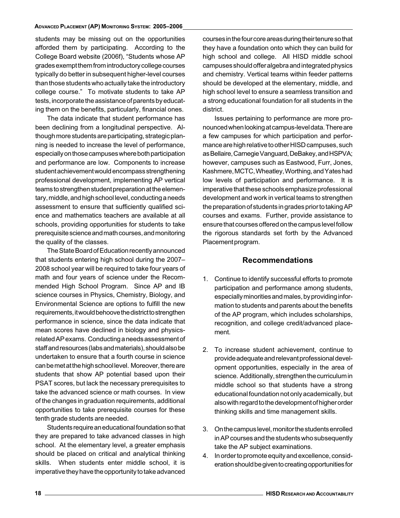students may be missing out on the opportunities afforded them by participating. According to the College Board website (2006f), "Students whose AP grades exempt them from introductory college courses typically do better in subsequent higher-level courses than those students who actually take the introductory college course." To motivate students to take AP tests, incorporate the assistance of parents by educating them on the benefits, particularly, financial ones.

The data indicate that student performance has been declining from a longitudinal perspective. Although more students are participating, strategic planning is needed to increase the level of performance, especially on those campuses where both participation and performance are low. Components to increase student achievement would encompass strengthening professional development, implementing AP vertical teams to strengthen student preparation at the elementary, middle, and high school level, conducting a needs assessment to ensure that sufficiently qualified science and mathematics teachers are available at all schools, providing opportunities for students to take prerequisite science and math courses, and monitoring the quality of the classes.

The State Board of Education recently announced that students entering high school during the 2007– 2008 school year will be required to take four years of math and four years of science under the Recommended High School Program. Since AP and IB science courses in Physics, Chemistry, Biology, and Environmental Science are options to fulfill the new requirements, it would behoove the district to strengthen performance in science, since the data indicate that mean scores have declined in biology and physicsrelated AP exams. Conducting a needs assessment of staff and resources (labs and materials), should also be undertaken to ensure that a fourth course in science can be met at the high school level. Moreover, there are students that show AP potential based upon their PSAT scores, but lack the necessary prerequisites to take the advanced science or math courses. In view of the changes in graduation requirements, additional opportunities to take prerequisite courses for these tenth grade students are needed.

Students require an educational foundation so that they are prepared to take advanced classes in high school. At the elementary level, a greater emphasis should be placed on critical and analytical thinking skills. When students enter middle school, it is imperative they have the opportunity to take advanced

courses in the four core areas during their tenure so that they have a foundation onto which they can build for high school and college. All HISD middle school campuses should offer algebra and integrated physics and chemistry. Vertical teams within feeder patterns should be developed at the elementary, middle, and high school level to ensure a seamless transition and a strong educational foundation for all students in the district.

Issues pertaining to performance are more pronounced when looking at campus-level data. There are a few campuses for which participation and performance are high relative to other HISD campuses, such as Bellaire, Carnegie Vanguard, DeBakey, and HSPVA; however, campuses such as Eastwood, Furr, Jones, Kashmere, MCTC, Wheatley, Worthing, and Yates had low levels of participation and performance. It is imperative that these schools emphasize professional development and work in vertical teams to strengthen the preparation of students in grades prior to taking AP courses and exams. Further, provide assistance to ensure that courses offered on the campus level follow the rigorous standards set forth by the Advanced Placement program.

### Recommendations

- 1. Continue to identify successful efforts to promote participation and performance among students, especially minorities and males, by providing information to students and parents about the benefits of the AP program, which includes scholarships, recognition, and college credit/advanced placement.
- 2. To increase student achievement, continue to provide adequate and relevant professional development opportunities, especially in the area of science. Additionally, strengthen the curriculum in middle school so that students have a strong educational foundation not only academically, but also with regard to the development of higher order thinking skills and time management skills.
- 3. On the campus level, monitor the students enrolled in AP courses and the students who subsequently take the AP subject examinations.
- 4. In order to promote equity and excellence, consideration should be given to creating opportunities for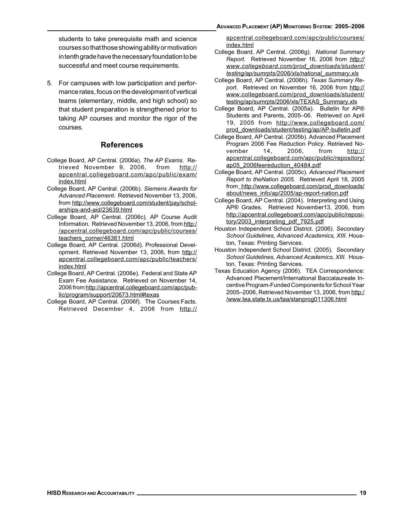students to take prerequisite math and science courses so that those showing ability or motivation in tenth grade have the necessary foundation to be successful and meet course requirements.

5. For campuses with low participation and performance rates, focus on the development of vertical teams (elementary, middle, and high school) so that student preparation is strengthened prior to taking AP courses and monitor the rigor of the courses.

### References

- College Board, AP Central. (2006a). The AP Exams. Retrieved November 9, 2006, from http:// apcentral.collegeboard.com/apc/public/exam/ index.html
- College Board, AP Central. (2006b). Siemens Awards for Advanced Placement. Retrieved November 13, 2006, from http://www.collegeboard.com/student/pay/scholarships-and-aid/23639.html
- College Board, AP Central. (2006c). AP Course Audit Information. Retrieved November 13, 2006, from http:/ /apcentral.collegeboard.com/apc/public/courses/ teachers\_corner/46361.html
- College Board, AP Central. (2006d). Professional Development. Retrieved November 13, 2006, from http:// apcentral.collegeboard.com/apc/public/teachers/ index.html
- College Board, AP Central. (2006e). Federal and State AP Exam Fee Assistance. Retrieved on November 14, 2006 from http://apcentral.collegeboard.com/apc/public/program/support/20673.html#texas
- College Board, AP Central. (2006f). The Courses:Facts. Retrieved December 4, 2006 from http://

apcentral.collegeboard.com/apc/public/courses/ index.html

- College Board, AP Central. (2006g). National Summary Report. Retrieved November 16, 2006 from http:// www.collegeboard.com/prod\_downloads/student/ testing/ap/sumrpts/2006/xls/national\_summary.xls
- College Board, AP Central. (2006h). Texas Summary Report. Retrieved on November 16, 2006 from http:// www.collegeboard.com/prod\_downloads/student/ testing/ap/sumrpts/2006/xls/TEXAS\_Summary.xls
- College Board, AP Central. (2005a). Bulletin for AP® Students and Parents, 2005–06. Retrieved on April 19, 2005 from http://www.collegeboard.com/ prod\_downloads/student/testing/ap/AP-bulletin.pdf
- College Board, AP Central. (2005b). Advanced Placement Program 2006 Fee Reduction Policy. Retrieved November 14, 2006, from http:// apcentral.collegeboard.com/apc/public/repository/ ap05\_2006feereduction\_40484.pdf
- College Board, AP Central. (2005c). Advanced Placement Report to theNation 2005. Retrieved April 18, 2005 from http://www.collegeboard.com/prod\_downloads/ about/news\_info/ap/2005/ap-report-nation.pdf
- College Board, AP Central. (2004). Interpreting and Using AP® Grades. Retrieved November13, 2006, from http://apcentral.collegeboard.com/apc/public/repository/2003\_interpreting\_pdf\_7925.pdf
- Houston Independent School District. (2006). Secondary School Guidelines, Advanced Academics, XIII. Houston, Texas: Printing Services.
- Houston Independent School District. (2005). Secondary School Guidelines, Advanced Academics, XIII. Houston, Texas: Printing Services.
- Texas Education Agency (2006). TEA Correspondence: Advanced Placement/International Baccalaureate Incentive Program-Funded Components for School Year 2005–2006, Retrieved November 13, 2006, from http:/ /www.tea.state.tx.us/taa/stanprog011306.html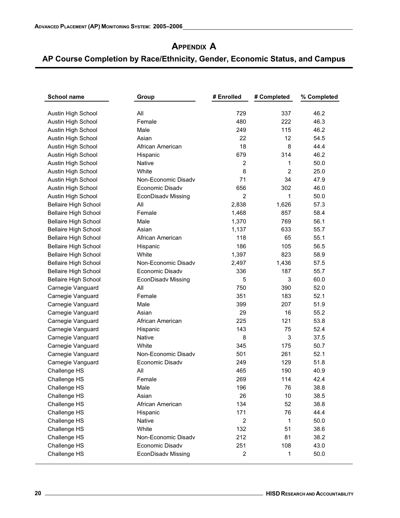# **APPENDIX A**

| <b>School name</b>          | Group                     | # Enrolled     | # Completed    | % Completed |
|-----------------------------|---------------------------|----------------|----------------|-------------|
| Austin High School          | All                       | 729            | 337            | 46.2        |
| Austin High School          | Female                    | 480            | 222            | 46.3        |
| Austin High School          | Male                      | 249            | 115            | 46.2        |
| Austin High School          | Asian                     | 22             | 12             | 54.5        |
| Austin High School          | African American          | 18             | 8              | 44.4        |
| Austin High School          | Hispanic                  | 679            | 314            | 46.2        |
| Austin High School          | Native                    | $\overline{2}$ | 1              | 50.0        |
| Austin High School          | White                     | 8              | $\overline{2}$ | 25.0        |
| Austin High School          | Non-Economic Disady       | 71             | 34             | 47.9        |
| Austin High School          | Economic Disadv           | 656            | 302            | 46.0        |
| Austin High School          | EconDisadv Missing        | $\overline{2}$ | 1              | 50.0        |
| <b>Bellaire High School</b> | All                       | 2,838          | 1,626          | 57.3        |
| <b>Bellaire High School</b> | Female                    | 1,468          | 857            | 58.4        |
| <b>Bellaire High School</b> | Male                      | 1,370          | 769            | 56.1        |
| <b>Bellaire High School</b> | Asian                     | 1,137          | 633            | 55.7        |
| <b>Bellaire High School</b> | African American          | 118            | 65             | 55.1        |
| <b>Bellaire High School</b> | Hispanic                  | 186            | 105            | 56.5        |
| <b>Bellaire High School</b> | White                     | 1,397          | 823            | 58.9        |
| <b>Bellaire High School</b> | Non-Economic Disady       | 2,497          | 1,436          | 57.5        |
| <b>Bellaire High School</b> | Economic Disadv           | 336            | 187            | 55.7        |
| <b>Bellaire High School</b> | <b>EconDisadv Missing</b> | 5              | 3              | 60.0        |
| Carnegie Vanguard           | All                       | 750            | 390            | 52.0        |
| Carnegie Vanguard           | Female                    | 351            | 183            | 52.1        |
| Carnegie Vanguard           | Male                      | 399            | 207            | 51.9        |
| Carnegie Vanguard           | Asian                     | 29             | 16             | 55.2        |
| Carnegie Vanguard           | African American          | 225            | 121            | 53.8        |
| Carnegie Vanguard           | Hispanic                  | 143            | 75             | 52.4        |
| Carnegie Vanguard           | Native                    | 8              | 3              | 37.5        |
| Carnegie Vanguard           | White                     | 345            | 175            | 50.7        |
| Carnegie Vanguard           | Non-Economic Disady       | 501            | 261            | 52.1        |
| Carnegie Vanguard           | Economic Disadv           | 249            | 129            | 51.8        |
| Challenge HS                | All                       | 465            | 190            | 40.9        |
| Challenge HS                | Female                    | 269            | 114            | 42.4        |
| Challenge HS                | Male                      | 196            | 76             | 38.8        |
| Challenge HS                | Asian                     | 26             | 10             | 38.5        |
| Challenge HS                | African American          | 134            | 52             | 38.8        |
| Challenge HS                | Hispanic                  | 171            | 76             | 44.4        |
| Challenge HS                | Native                    | $\overline{c}$ | 1              | 50.0        |
| Challenge HS                | White                     | 132            | 51             | 38.6        |
| Challenge HS                | Non-Economic Disadv       | 212            | 81             | 38.2        |
| Challenge HS                | Economic Disady           | 251            | 108            | 43.0        |
| Challenge HS                | EconDisadv Missing        | $\overline{c}$ | 1              | 50.0        |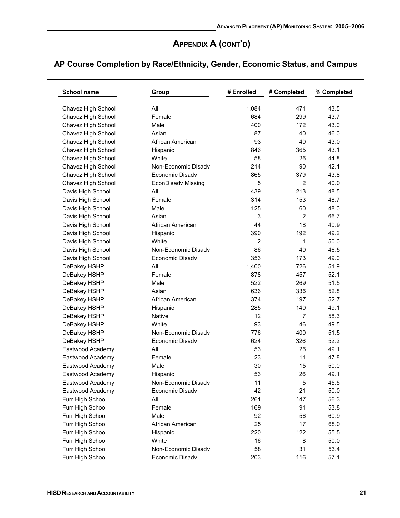| <b>School name</b> | Group               | # Enrolled | # Completed    | % Completed |
|--------------------|---------------------|------------|----------------|-------------|
| Chavez High School | All                 | 1,084      | 471            | 43.5        |
| Chavez High School | Female              | 684        | 299            | 43.7        |
| Chavez High School | Male                | 400        | 172            | 43.0        |
| Chavez High School | Asian               | 87         | 40             | 46.0        |
| Chavez High School | African American    | 93         | 40             | 43.0        |
| Chavez High School | Hispanic            | 846        | 365            | 43.1        |
| Chavez High School | White               | 58         | 26             | 44.8        |
| Chavez High School | Non-Economic Disadv | 214        | 90             | 42.1        |
| Chavez High School | Economic Disady     | 865        | 379            | 43.8        |
| Chavez High School | EconDisadv Missing  | 5          | 2              | 40.0        |
| Davis High School  | All                 | 439        | 213            | 48.5        |
| Davis High School  | Female              | 314        | 153            | 48.7        |
| Davis High School  | Male                | 125        | 60             | 48.0        |
| Davis High School  | Asian               | 3          | $\overline{c}$ | 66.7        |
| Davis High School  | African American    | 44         | 18             | 40.9        |
| Davis High School  | Hispanic            | 390        | 192            | 49.2        |
| Davis High School  | White               | 2          | 1              | 50.0        |
| Davis High School  | Non-Economic Disady | 86         | 40             | 46.5        |
| Davis High School  | Economic Disadv     | 353        | 173            | 49.0        |
| DeBakey HSHP       | All                 | 1,400      | 726            | 51.9        |
| DeBakey HSHP       | Female              | 878        | 457            | 52.1        |
| DeBakey HSHP       | Male                | 522        | 269            | 51.5        |
| DeBakey HSHP       | Asian               | 636        | 336            | 52.8        |
| DeBakey HSHP       | African American    | 374        | 197            | 52.7        |
| DeBakey HSHP       | Hispanic            | 285        | 140            | 49.1        |
| DeBakey HSHP       | Native              | 12         | 7              | 58.3        |
| DeBakey HSHP       | White               | 93         | 46             | 49.5        |
| DeBakey HSHP       | Non-Economic Disady | 776        | 400            | 51.5        |
| DeBakey HSHP       | Economic Disady     | 624        | 326            | 52.2        |
| Eastwood Academy   | All                 | 53         | 26             | 49.1        |
| Eastwood Academy   | Female              | 23         | 11             | 47.8        |
| Eastwood Academy   | Male                | 30         | 15             | 50.0        |
| Eastwood Academy   | Hispanic            | 53         | 26             | 49.1        |
| Eastwood Academy   | Non-Economic Disadv | 11         | 5              | 45.5        |
| Eastwood Academy   | Economic Disadv     | 42         | 21             | 50.0        |
| Furr High School   | All                 | 261        | 147            | 56.3        |
| Furr High School   | Female              | 169        | 91             | 53.8        |
| Furr High School   | Male                | 92         | 56             | 60.9        |
| Furr High School   | African American    | 25         | 17             | 68.0        |
| Furr High School   | Hispanic            | 220        | 122            | 55.5        |
| Furr High School   | White               | 16         | 8              | 50.0        |
| Furr High School   | Non-Economic Disadv | 58         | 31             | 53.4        |
| Furr High School   | Economic Disadv     | 203        | 116            | 57.1        |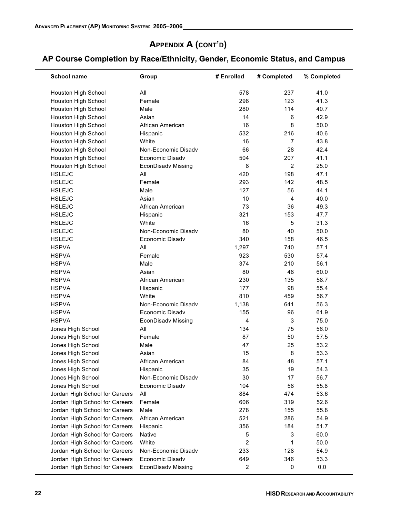| <b>School name</b>             | Group                     | # Enrolled     | # Completed    | % Completed |
|--------------------------------|---------------------------|----------------|----------------|-------------|
| Houston High School            | All                       | 578            | 237            | 41.0        |
| Houston High School            | Female                    | 298            | 123            | 41.3        |
| Houston High School            | Male                      | 280            | 114            | 40.7        |
| Houston High School            | Asian                     | 14             | 6              | 42.9        |
| Houston High School            | African American          | 16             | 8              | 50.0        |
| <b>Houston High School</b>     | Hispanic                  | 532            | 216            | 40.6        |
| Houston High School            | White                     | 16             | 7              | 43.8        |
| Houston High School            | Non-Economic Disady       | 66             | 28             | 42.4        |
| Houston High School            | Economic Disadv           | 504            | 207            | 41.1        |
| Houston High School            | <b>EconDisadv Missing</b> | 8              | 2              | 25.0        |
| <b>HSLEJC</b>                  | All                       | 420            | 198            | 47.1        |
| <b>HSLEJC</b>                  | Female                    | 293            | 142            | 48.5        |
| <b>HSLEJC</b>                  | Male                      | 127            | 56             | 44.1        |
| <b>HSLEJC</b>                  | Asian                     | 10             | $\overline{4}$ | 40.0        |
| <b>HSLEJC</b>                  | African American          | 73             | 36             | 49.3        |
| <b>HSLEJC</b>                  | Hispanic                  | 321            | 153            | 47.7        |
| <b>HSLEJC</b>                  | White                     | 16             | 5              | 31.3        |
| <b>HSLEJC</b>                  | Non-Economic Disady       | 80             | 40             | 50.0        |
| <b>HSLEJC</b>                  | Economic Disady           | 340            | 158            | 46.5        |
| <b>HSPVA</b>                   | All                       | 1,297          | 740            | 57.1        |
|                                | Female                    | 923            |                | 57.4        |
| <b>HSPVA</b>                   |                           |                | 530            |             |
| <b>HSPVA</b>                   | Male                      | 374            | 210            | 56.1        |
| <b>HSPVA</b>                   | Asian                     | 80             | 48             | 60.0        |
| <b>HSPVA</b>                   | African American          | 230            | 135            | 58.7        |
| <b>HSPVA</b>                   | Hispanic                  | 177            | 98             | 55.4        |
| <b>HSPVA</b>                   | White                     | 810            | 459            | 56.7        |
| <b>HSPVA</b>                   | Non-Economic Disadv       | 1,138          | 641            | 56.3        |
| <b>HSPVA</b>                   | Economic Disadv           | 155            | 96             | 61.9        |
| <b>HSPVA</b>                   | <b>EconDisadv Missing</b> | $\overline{4}$ | 3              | 75.0        |
| Jones High School              | All                       | 134            | 75             | 56.0        |
| Jones High School              | Female                    | 87             | 50             | 57.5        |
| Jones High School              | Male                      | 47             | 25             | 53.2        |
| Jones High School              | Asian                     | 15             | 8              | 53.3        |
| Jones High School              | African American          | 84             | 48             | 57.1        |
| Jones High School              | Hispanic                  | 35             | 19             | 54.3        |
| Jones High School              | Non-Economic Disadv       | 30             | 17             | 56.7        |
| Jones High School              | Economic Disadv           | 104            | 58             | 55.8        |
| Jordan High School for Careers | All                       | 884            | 474            | 53.6        |
| Jordan High School for Careers | Female                    | 606            | 319            | 52.6        |
| Jordan High School for Careers | Male                      | 278            | 155            | 55.8        |
| Jordan High School for Careers | African American          | 521            | 286            | 54.9        |
| Jordan High School for Careers | Hispanic                  | 356            | 184            | 51.7        |
| Jordan High School for Careers | <b>Native</b>             | 5              | 3              | 60.0        |
| Jordan High School for Careers | White                     | 2              | 1              | 50.0        |
| Jordan High School for Careers | Non-Economic Disadv       | 233            | 128            | 54.9        |
| Jordan High School for Careers | Economic Disadv           | 649            | 346            | 53.3        |
| Jordan High School for Careers | <b>EconDisadv Missing</b> | 2              | 0              | 0.0         |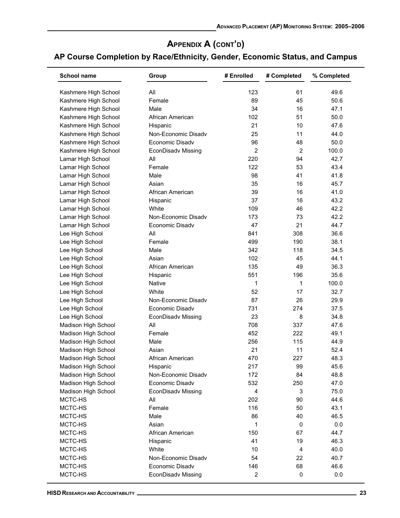| <b>School name</b>   | Group                           | # Enrolled     | # Completed    | % Completed  |
|----------------------|---------------------------------|----------------|----------------|--------------|
| Kashmere High School | All                             | 123            | 61             | 49.6         |
| Kashmere High School | Female                          | 89             | 45             | 50.6         |
| Kashmere High School | Male                            | 34             | 16             | 47.1         |
| Kashmere High School | African American                | 102            | 51             | 50.0         |
| Kashmere High School | Hispanic                        | 21             | 10             | 47.6         |
| Kashmere High School | Non-Economic Disadv             | 25             | 11             | 44.0         |
| Kashmere High School | Economic Disady                 | 96             | 48             | 50.0         |
| Kashmere High School | <b>EconDisadv Missing</b>       | $\overline{c}$ | $\overline{c}$ | 100.0        |
| Lamar High School    | All                             | 220            | 94             | 42.7         |
| Lamar High School    | Female                          | 122            | 53             | 43.4         |
| Lamar High School    | Male                            | 98             | 41             | 41.8         |
| Lamar High School    | Asian                           | 35             | 16             | 45.7         |
| Lamar High School    | African American                | 39             | 16             | 41.0         |
| Lamar High School    | Hispanic                        | 37             | 16             | 43.2         |
| Lamar High School    | White                           | 109            | 46             | 42.2         |
| Lamar High School    | Non-Economic Disady             | 173            | 73             | 42.2         |
| Lamar High School    | Economic Disady                 | 47             | 21             | 44.7         |
| Lee High School      | All                             | 841            | 308            | 36.6         |
| Lee High School      | Female                          | 499            | 190            | 38.1         |
| Lee High School      | Male                            | 342            | 118            | 34.5         |
| Lee High School      | Asian                           | 102            | 45             | 44.1         |
| Lee High School      | African American                | 135            | 49             | 36.3         |
| Lee High School      | Hispanic                        | 551            | 196            | 35.6         |
| Lee High School      | Native                          | 1              | 1              | 100.0        |
| Lee High School      | White                           | 52             | 17             | 32.7         |
| Lee High School      | Non-Economic Disady             | 87             | 26             | 29.9         |
| Lee High School      | Economic Disadv                 | 731            | 274            | 37.5         |
| Lee High School      | EconDisadv Missing              | 23             | 8              | 34.8         |
| Madison High School  | All                             | 708            | 337            | 47.6         |
| Madison High School  | Female                          | 452            | 222            | 49.1         |
| Madison High School  | Male                            | 256            | 115            | 44.9         |
| Madison High School  | Asian                           | 21             | 11             | 52.4         |
| Madison High School  | African American                | 470            | 227            | 48.3         |
| Madison High School  |                                 | 217            | 99             | 45.6         |
| Madison High School  | Hispanic<br>Non-Economic Disadv | 172            | 84             | 48.8         |
| Madison High School  | Economic Disadv                 | 532            | 250            | 47.0         |
| Madison High School  |                                 | 4              |                | 75.0         |
|                      | EconDisadv Missing              |                | 3              |              |
| MCTC-HS<br>MCTC-HS   | All<br>Female                   | 202<br>116     | 90<br>50       | 44.6<br>43.1 |
| MCTC-HS              | Male                            | 86             | 40             | 46.5         |
|                      | Asian                           |                | $\mathbf 0$    |              |
| MCTC-HS              |                                 | 1              |                | 0.0          |
| MCTC-HS              | African American                | 150            | 67             | 44.7         |
| MCTC-HS              | Hispanic                        | 41             | 19             | 46.3         |
| MCTC-HS              | White                           | 10             | 4              | 40.0         |
| MCTC-HS              | Non-Economic Disadv             | 54             | 22             | 40.7         |
| MCTC-HS              | Economic Disadv                 | 146            | 68             | 46.6         |
| MCTC-HS              | <b>EconDisadv Missing</b>       | $\overline{c}$ | 0              | 0.0          |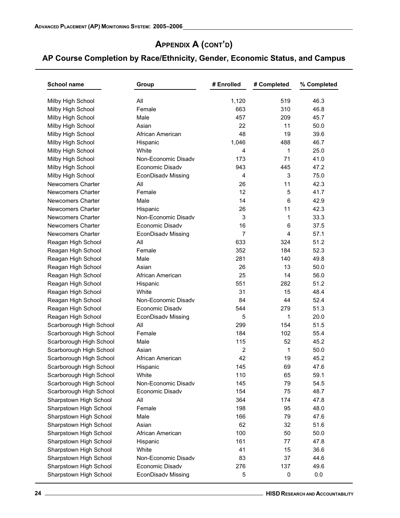| <b>School name</b>       | Group                     | # Enrolled     | # Completed | % Completed |
|--------------------------|---------------------------|----------------|-------------|-------------|
| Milby High School        | All                       | 1,120          | 519         | 46.3        |
| Milby High School        | Female                    | 663            | 310         | 46.8        |
| Milby High School        | Male                      | 457            | 209         | 45.7        |
| Milby High School        | Asian                     | 22             | 11          | 50.0        |
| Milby High School        | African American          | 48             | 19          | 39.6        |
| Milby High School        | Hispanic                  | 1,046          | 488         | 46.7        |
| Milby High School        | White                     | 4              | 1           | 25.0        |
| Milby High School        | Non-Economic Disady       | 173            | 71          | 41.0        |
| Milby High School        | Economic Disadv           | 943            | 445         | 47.2        |
| Milby High School        | <b>EconDisadv Missing</b> | $\overline{4}$ | 3           | 75.0        |
| Newcomers Charter        | All                       | 26             | 11          | 42.3        |
| <b>Newcomers Charter</b> | Female                    | 12             | 5           | 41.7        |
| <b>Newcomers Charter</b> | Male                      | 14             | 6           | 42.9        |
| <b>Newcomers Charter</b> | Hispanic                  | 26             | 11          | 42.3        |
| <b>Newcomers Charter</b> | Non-Economic Disadv       | 3              | 1           | 33.3        |
| <b>Newcomers Charter</b> | Economic Disadv           | 16             | 6           | 37.5        |
| Newcomers Charter        | <b>EconDisadv Missing</b> | $\overline{7}$ | 4           | 57.1        |
| Reagan High School       | All                       | 633            | 324         | 51.2        |
| Reagan High School       | Female                    | 352            | 184         | 52.3        |
| Reagan High School       | Male                      | 281            | 140         | 49.8        |
| Reagan High School       | Asian                     | 26             | 13          | 50.0        |
| Reagan High School       | African American          | 25             | 14          | 56.0        |
| Reagan High School       | Hispanic                  | 551            | 282         | 51.2        |
| Reagan High School       | White                     | 31             | 15          | 48.4        |
| Reagan High School       | Non-Economic Disady       | 84             | 44          | 52.4        |
| Reagan High School       | Economic Disadv           | 544            | 279         | 51.3        |
| Reagan High School       | <b>EconDisadv Missing</b> | 5              | 1           | 20.0        |
| Scarborough High School  | All                       | 299            | 154         | 51.5        |
| Scarborough High School  | Female                    | 184            | 102         | 55.4        |
| Scarborough High School  | Male                      | 115            | 52          | 45.2        |
| Scarborough High School  | Asian                     | 2              | 1           | 50.0        |
| Scarborough High School  | African American          | 42             | 19          | 45.2        |
| Scarborough High School  | Hispanic                  | 145            | 69          | 47.6        |
| Scarborough High School  | White                     | 110            | 65          | 59.1        |
| Scarborough High School  | Non-Economic Disadv       | 145            | 79          | 54.5        |
| Scarborough High School  | Economic Disadv           | 154            | 75          | 48.7        |
| Sharpstown High School   | All                       | 364            | 174         | 47.8        |
| Sharpstown High School   | Female                    | 198            | 95          | 48.0        |
| Sharpstown High School   | Male                      | 166            | 79          | 47.6        |
| Sharpstown High School   | Asian                     | 62             | 32          | 51.6        |
| Sharpstown High School   | African American          | 100            | 50          | 50.0        |
| Sharpstown High School   | Hispanic                  | 161            | 77          | 47.8        |
| Sharpstown High School   | White                     | 41             | 15          | 36.6        |
| Sharpstown High School   | Non-Economic Disadv       | 83             | 37          | 44.6        |
| Sharpstown High School   | Economic Disadv           | 276            | 137         | 49.6        |
| Sharpstown High School   | EconDisadv Missing        | 5              | 0           | 0.0         |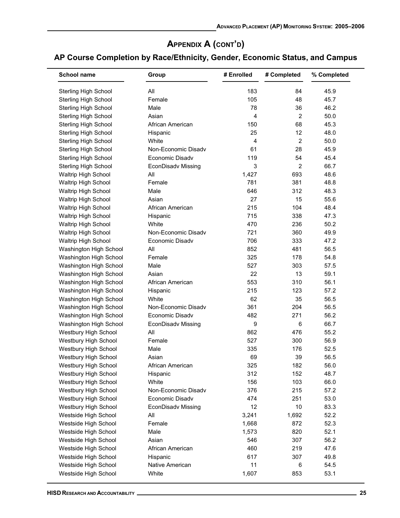| <b>School name</b>                           | Group                     | # Enrolled     | # Completed    | % Completed |
|----------------------------------------------|---------------------------|----------------|----------------|-------------|
| <b>Sterling High School</b>                  | All                       | 183            | 84             | 45.9        |
| <b>Sterling High School</b>                  | Female                    | 105            | 48             | 45.7        |
| <b>Sterling High School</b>                  | Male                      | 78             | 36             | 46.2        |
| <b>Sterling High School</b>                  | Asian                     | $\overline{4}$ | $\overline{2}$ | 50.0        |
| <b>Sterling High School</b>                  | African American          | 150            | 68             | 45.3        |
| <b>Sterling High School</b>                  | Hispanic                  | 25             | 12             | 48.0        |
| <b>Sterling High School</b>                  | White                     | $\overline{4}$ | $\overline{c}$ | 50.0        |
| <b>Sterling High School</b>                  | Non-Economic Disadv       | 61             | 28             | 45.9        |
| Sterling High School                         | Economic Disadv           | 119            | 54             | 45.4        |
| <b>Sterling High School</b>                  | <b>EconDisadv Missing</b> | 3              | 2              | 66.7        |
| Waltrip High School                          | All                       | 1,427          | 693            | 48.6        |
| Waltrip High School                          | Female                    | 781            | 381            | 48.8        |
| <b>Waltrip High School</b>                   | Male                      | 646            | 312            | 48.3        |
| Waltrip High School                          | Asian                     | 27             | 15             | 55.6        |
| Waltrip High School                          | African American          | 215            | 104            | 48.4        |
| Waltrip High School                          | Hispanic                  | 715            | 338            | 47.3        |
| Waltrip High School                          | White                     | 470            | 236            | 50.2        |
| Waltrip High School                          | Non-Economic Disadv       | 721            | 360            | 49.9        |
| Waltrip High School                          | Economic Disadv           | 706            | 333            | 47.2        |
| Washington High School                       | All                       | 852            | 481            | 56.5        |
| Washington High School                       | Female                    | 325            | 178            | 54.8        |
| Washington High School                       | Male                      | 527            | 303            | 57.5        |
| Washington High School                       | Asian                     | 22             | 13             | 59.1        |
| Washington High School                       | African American          | 553            | 310            | 56.1        |
| Washington High School                       | Hispanic                  | 215            | 123            | 57.2        |
| Washington High School                       | White                     | 62             | 35             | 56.5        |
| Washington High School                       | Non-Economic Disadv       | 361            | 204            | 56.5        |
| Washington High School                       | Economic Disady           | 482            | 271            | 56.2        |
| Washington High School                       | EconDisadv Missing        | 9              | 6              | 66.7        |
| Westbury High School                         | All                       | 862            | 476            | 55.2        |
| Westbury High School                         | Female                    | 527            | 300            | 56.9        |
| Westbury High School                         | Male                      | 335            | 176            | 52.5        |
| Westbury High School                         | Asian                     | 69             | 39             | 56.5        |
| Westbury High School                         | African American          | 325            | 182            | 56.0        |
| Westbury High School                         | Hispanic                  | 312            | 152            | 48.7        |
| Westbury High School                         | White                     | 156            | 103            | 66.0        |
| Westbury High School                         | Non-Economic Disadv       | 376            | 215            | 57.2        |
| Westbury High School                         | Economic Disadv           | 474            | 251            | 53.0        |
|                                              |                           | 12             | 10             | 83.3        |
| Westbury High School                         | <b>EconDisadv Missing</b> |                |                | 52.2        |
| Westside High School<br>Westside High School | All<br>Female             | 3,241          | 1,692<br>872   | 52.3        |
|                                              |                           | 1,668          |                | 52.1        |
| Westside High School                         | Male                      | 1,573          | 820            |             |
| Westside High School                         | Asian                     | 546            | 307            | 56.2        |
| Westside High School                         | African American          | 460            | 219            | 47.6        |
| Westside High School                         | Hispanic                  | 617            | 307            | 49.8        |
| Westside High School                         | Native American           | 11             | 6              | 54.5        |
| Westside High School                         | White                     | 1,607          | 853            | 53.1        |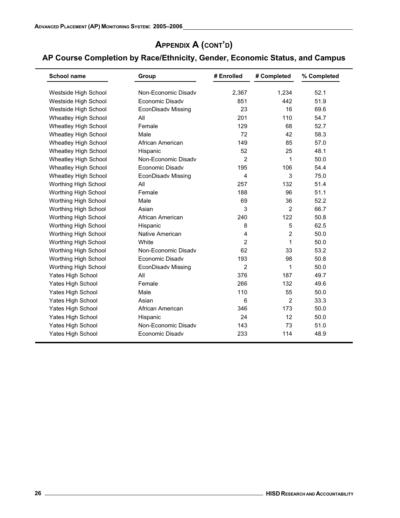| <b>School name</b>          | Group               | # Enrolled     | # Completed    | % Completed |
|-----------------------------|---------------------|----------------|----------------|-------------|
| Westside High School        | Non-Economic Disady | 2,367          | 1,234          | 52.1        |
| Westside High School        | Economic Disadv     | 851            | 442            | 51.9        |
| Westside High School        | EconDisadv Missing  | 23             | 16             | 69.6        |
| Wheatley High School        | All                 | 201            | 110            | 54.7        |
| Wheatley High School        | Female              | 129            | 68             | 52.7        |
| Wheatley High School        | Male                | 72             | 42             | 58.3        |
| <b>Wheatley High School</b> | African American    | 149            | 85             | 57.0        |
| <b>Wheatley High School</b> | Hispanic            | 52             | 25             | 48.1        |
| Wheatley High School        | Non-Economic Disady | $\overline{2}$ | 1              | 50.0        |
| <b>Wheatley High School</b> | Economic Disadv     | 195            | 106            | 54.4        |
| <b>Wheatley High School</b> | EconDisadv Missing  | 4              | 3              | 75.0        |
| Worthing High School        | All                 | 257            | 132            | 51.4        |
| Worthing High School        | Female              | 188            | 96             | 51.1        |
| Worthing High School        | Male                | 69             | 36             | 52.2        |
| Worthing High School        | Asian               | 3              | $\overline{2}$ | 66.7        |
| Worthing High School        | African American    | 240            | 122            | 50.8        |
| Worthing High School        | Hispanic            | 8              | 5              | 62.5        |
| Worthing High School        | Native American     | 4              | $\overline{2}$ | 50.0        |
| Worthing High School        | White               | $\overline{2}$ | 1              | 50.0        |
| Worthing High School        | Non-Economic Disady | 62             | 33             | 53.2        |
| Worthing High School        | Economic Disadv     | 193            | 98             | 50.8        |
| Worthing High School        | EconDisadv Missing  | $\overline{2}$ | 1              | 50.0        |
| Yates High School           | All                 | 376            | 187            | 49.7        |
| Yates High School           | Female              | 266            | 132            | 49.6        |
| Yates High School           | Male                | 110            | 55             | 50.0        |
| Yates High School           | Asian               | 6              | 2              | 33.3        |
| Yates High School           | African American    | 346            | 173            | 50.0        |
| Yates High School           | Hispanic            | 24             | 12             | 50.0        |
| <b>Yates High School</b>    | Non-Economic Disady | 143            | 73             | 51.0        |
| Yates High School           | Economic Disadv     | 233            | 114            | 48.9        |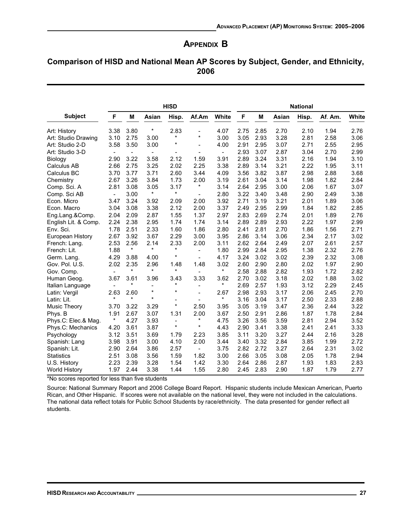## **APPENDIX B**

## Comparison of HISD and National Mean AP Scores by Subject, Gender, and Ethnicity, 2006

|                      | <b>HISD</b>              |                          |                          |                          | <b>National</b>              |                          |      |      |       |       |         |       |
|----------------------|--------------------------|--------------------------|--------------------------|--------------------------|------------------------------|--------------------------|------|------|-------|-------|---------|-------|
| <b>Subject</b>       | F                        | M                        | Asian                    | Hisp.                    | Af.Am                        | White                    | F    | M    | Asian | Hisp. | Af. Am. | White |
| Art: History         | 3.38                     | 3.80                     | $\star$                  | 2.83                     | $\overline{a}$               | 4.07                     | 2.75 | 2.85 | 2.70  | 2.10  | 1.94    | 2.76  |
| Art: Studio Drawing  | 3.10                     | 2.75                     | 3.00                     | $^\star$                 | $\star$                      | 3.00                     | 3.05 | 2.93 | 3.28  | 2.81  | 2.58    | 3.06  |
| Art: Studio 2-D      | 3.58                     | 3.50                     | 3.00                     | $^\star$                 | $\overline{a}$               | 4.00                     | 2.91 | 2.95 | 3.07  | 2.71  | 2.55    | 2.95  |
| Art: Studio 3-D      | $\blacksquare$           | $\overline{\phantom{a}}$ | $\overline{\phantom{a}}$ |                          |                              | $\overline{\phantom{a}}$ | 2.93 | 3.07 | 2.87  | 3.04  | 2.70    | 2.99  |
| Biology              | 2.90                     | 3.22                     | 3.58                     | 2.12                     | 1.59                         | 3.91                     | 2.89 | 3.24 | 3.31  | 2.16  | 1.94    | 3.10  |
| Calculus AB          | 2.66                     | 2.75                     | 3.25                     | 2.02                     | 2.25                         | 3.38                     | 2.89 | 3.14 | 3.21  | 2.22  | 1.95    | 3.11  |
| Calculus BC          | 3.70                     | 3.77                     | 3.71                     | 2.60                     | 3.44                         | 4.09                     | 3.56 | 3.82 | 3.87  | 2.98  | 2.88    | 3.68  |
| Chemistry            | 2.67                     | 3.26                     | 3.84                     | 1.73                     | 2.00                         | 3.19                     | 2.61 | 3.04 | 3.14  | 1.98  | 1.82    | 2.84  |
| Comp. Sci. A         | 2.81                     | 3.08                     | 3.05                     | 3.17                     | $^{\star}$                   | 3.14                     | 2.64 | 2.95 | 3.00  | 2.06  | 1.67    | 3.07  |
| Comp. Sci AB         | $\overline{\phantom{a}}$ | 3.00                     | $\star$                  | $\star$                  | $\qquad \qquad \blacksquare$ | 2.80                     | 3.22 | 3.40 | 3.48  | 2.90  | 2.49    | 3.38  |
| Econ. Micro          | 3.47                     | 3.24                     | 3.92                     | 2.09                     | 2.00                         | 3.92                     | 2.71 | 3.19 | 3.21  | 2.01  | 1.89    | 3.06  |
| Econ. Macro          | 3.04                     | 3.08                     | 3.38                     | 2.12                     | 2.00                         | 3.37                     | 2.49 | 2.95 | 2.99  | 1.84  | 1.82    | 2.85  |
| Eng.Lang.&Comp.      | 2.04                     | 2.09                     | 2.87                     | 1.55                     | 1.37                         | 2.97                     | 2.83 | 2.69 | 2.74  | 2.01  | 1.89    | 2.76  |
| English Lit. & Comp. | 2.24                     | 2.38                     | 2.95                     | 1.74                     | 1.74                         | 3.14                     | 2.89 | 2.89 | 2.93  | 2.22  | 1.97    | 2.99  |
| Env. Sci.            | 1.78                     | 2.51                     | 2.33                     | 1.60                     | 1.86                         | 2.80                     | 2.41 | 2.81 | 2.70  | 1.86  | 1.56    | 2.71  |
| European History     | 2.67                     | 3.92                     | 3.67                     | 2.29                     | 3.00                         | 3.95                     | 2.86 | 3.14 | 3.06  | 2.34  | 2.17    | 3.02  |
| French: Lang.        | 2.53                     | 2.56                     | 2.14                     | 2.33                     | 2.00                         | 3.11                     | 2.62 | 2.64 | 2.49  | 2.07  | 2.61    | 2.57  |
| French: Lit.         | 1.88                     | $\star$                  | $\star$                  | $\star$                  | $\overline{\phantom{0}}$     | 1.80                     | 2.99 | 2.84 | 2.95  | 1.38  | 2.32    | 2.76  |
| Germ. Lang.          | 4.29                     | 3.88                     | 4.00                     | $\star$                  | $\overline{\phantom{a}}$     | 4.17                     | 3.24 | 3.02 | 3.02  | 2.39  | 2.32    | 3.08  |
| Gov. Pol. U.S.       | 2.02                     | 2.35                     | 2.96                     | 1.48                     | 1.48                         | 3.02                     | 2.60 | 2.90 | 2.80  | 2.02  | 1.97    | 2.90  |
| Gov. Comp.           | $\overline{a}$           | $\star$                  | $\star$                  | $^\star$                 | $\overline{\phantom{a}}$     | *                        | 2.58 | 2.88 | 2.82  | 1.93  | 1.72    | 2.82  |
| Human Geog.          | 3.67                     | 3.61                     | 3.96                     | 3.43                     | 3.33                         | 3.62                     | 2.70 | 3.02 | 3.18  | 2.02  | 1.88    | 3.02  |
| Italian Language     |                          | $^\star$                 | $\overline{a}$           | *                        | $\overline{\phantom{0}}$     | *                        | 2.69 | 2.57 | 1.93  | 3.12  | 2.29    | 2.45  |
| Latin: Vergil        | 2.63                     | 2.60                     | $\star$                  | $\star$                  | $\overline{a}$               | 2.67                     | 2.98 | 2.93 | 3.17  | 2.06  | 2.45    | 2.70  |
| Latin: Lit.          | $\star$                  | $\star$                  | $\star$                  |                          |                              | $\star$                  | 3.16 | 3.04 | 3.17  | 2.50  | 2.33    | 2.88  |
| <b>Music Theory</b>  | 3.70                     | 3.22                     | 3.29                     | $\star$                  | 2.50                         | 3.95                     | 3.05 | 3.19 | 3.47  | 2.36  | 2.44    | 3.22  |
| Phys. B              | 1.91                     | 2.67                     | 3.07                     | 1.31                     | 2.00                         | 3.67                     | 2.50 | 2.91 | 2.86  | 1.87  | 1.78    | 2.84  |
| Phys.C: Elec.& Mag.  | $\star$                  | 4.27                     | 3.93                     | $\overline{\phantom{a}}$ | $^\star$                     | 4.75                     | 3.26 | 3.56 | 3.59  | 2.81  | 2.94    | 3.52  |
| Phys.C: Mechanics    | 4.20                     | 3.61                     | 3.87                     | $\star$                  | $\star$                      | 4.43                     | 2.90 | 3.41 | 3.38  | 2.41  | 2.41    | 3.33  |
| Psychology           | 3.12                     | 3.51                     | 3.69                     | 1.79                     | 2.23                         | 3.85                     | 3.11 | 3.20 | 3.27  | 2.44  | 2.16    | 3.28  |
| Spanish: Lang        | 3.98                     | 3.91                     | 3.00                     | 4.10                     | 2.00                         | 3.44                     | 3.40 | 3.32 | 2.84  | 3.85  | 1.99    | 2.72  |
| Spanish: Lit.        | 2.90                     | 2.64                     | 3.86                     | 2.57                     | $\overline{\phantom{a}}$     | 3.75                     | 2.82 | 2.72 | 3.27  | 2.64  | 2.31    | 3.02  |
| <b>Statistics</b>    | 2.51                     | 3.08                     | 3.56                     | 1.59                     | 1.82                         | 3.00                     | 2.66 | 3.05 | 3.08  | 2.05  | 1.78    | 2.94  |
| U.S. History         | 2.23                     | 2.39                     | 3.28                     | 1.54                     | 1.42                         | 3.30                     | 2.64 | 2.86 | 2.87  | 1.93  | 1.83    | 2.83  |
| <b>World History</b> | 1.97                     | 2.44                     | 3.38                     | 1.44                     | 1.55                         | 2.80                     | 2.45 | 2.83 | 2.90  | 1.87  | 1.79    | 2.77  |

\*No scores reported for less than five students

Source: National Summary Report and 2006 College Board Report. Hispanic students include Mexican American, Puerto Rican, and Other Hispanic. If scores were not available on the national level, they were not included in the calculations. The national data reflect totals for Public School Students by race/ethnicity. The data presented for gender reflect all students.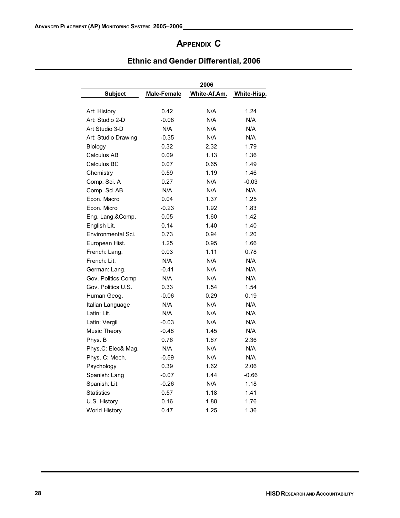# APPENDIX C

|                     |             | 2006         |             |
|---------------------|-------------|--------------|-------------|
| <b>Subject</b>      | Male-Female | White-Af.Am. | White-Hisp. |
| Art: History        | 0.42        | N/A          | 1.24        |
| Art: Studio 2-D     | $-0.08$     | N/A          | N/A         |
| Art Studio 3-D      | N/A         | N/A          | N/A         |
| Art: Studio Drawing | $-0.35$     | N/A          | N/A         |
| Biology             | 0.32        | 2.32         | 1.79        |
| Calculus AB         | 0.09        | 1.13         | 1.36        |
| Calculus BC         | 0.07        | 0.65         | 1.49        |
| Chemistry           | 0.59        | 1.19         | 1.46        |
| Comp. Sci. A        | 0.27        | N/A          | $-0.03$     |
| Comp. Sci AB        | N/A         | N/A          | N/A         |
| Econ. Macro         | 0.04        | 1.37         | 1.25        |
| Econ, Micro         | $-0.23$     | 1.92         | 1.83        |
| Eng. Lang.&Comp.    | 0.05        | 1.60         | 1.42        |
| English Lit.        | 0.14        | 1.40         | 1.40        |
| Environmental Sci.  | 0.73        | 0.94         | 1.20        |
| European Hist.      | 1.25        | 0.95         | 1.66        |
| French: Lang.       | 0.03        | 1.11         | 0.78        |
| French: Lit.        | N/A         | N/A          | N/A         |
| German: Lang.       | $-0.41$     | N/A          | N/A         |
| Gov. Politics Comp  | N/A         | N/A          | N/A         |
| Gov. Politics U.S.  | 0.33        | 1.54         | 1.54        |
| Human Geog.         | $-0.06$     | 0.29         | 0.19        |
| Italian Language    | N/A         | N/A          | N/A         |
| Latin: Lit.         | N/A         | N/A          | N/A         |
| Latin: Vergil       | $-0.03$     | N/A          | N/A         |
| <b>Music Theory</b> | $-0.48$     | 1.45         | N/A         |
| Phys. B             | 0.76        | 1.67         | 2.36        |
| Phys.C: Elec& Mag.  | N/A         | N/A          | N/A         |
| Phys. C: Mech.      | $-0.59$     | N/A          | N/A         |
| Psychology          | 0.39        | 1.62         | 2.06        |
| Spanish: Lang       | $-0.07$     | 1.44         | $-0.66$     |
| Spanish: Lit.       | -0.26       | N/A          | 1.18        |
| <b>Statistics</b>   | 0.57        | 1.18         | 1.41        |
| U.S. History        | 0.16        | 1.88         | 1.76        |
| World History       | 0.47        | 1.25         | 1.36        |

## Ethnic and Gender Differential, 2006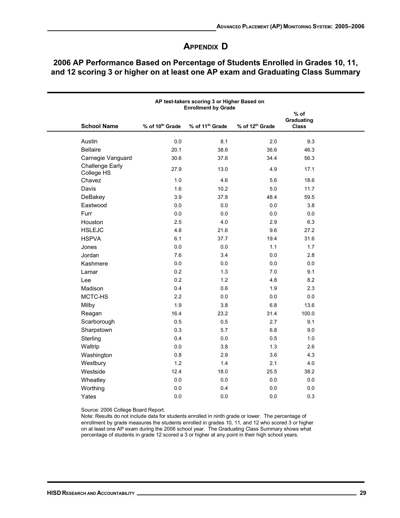# **APPENDIX D**

|                                      | $%$ of                      |                             |                             |                            |  |
|--------------------------------------|-----------------------------|-----------------------------|-----------------------------|----------------------------|--|
| <b>School Name</b>                   | % of 10 <sup>th</sup> Grade | % of 11 <sup>th</sup> Grade | % of 12 <sup>th</sup> Grade | Graduating<br><b>Class</b> |  |
| Austin                               | $0.0\,$                     | 8.1                         | 2.0                         | 9.3                        |  |
| <b>Bellaire</b>                      | 20.1                        | 38.6                        | 36.6                        | 46.3                       |  |
| Carnegie Vanguard                    | 30.6                        | 37.6                        | 34.4                        | 56.3                       |  |
| <b>Challenge Early</b><br>College HS | 27.9                        | 13.0                        | 4.9                         | 17.1                       |  |
| Chavez                               | 1.0                         | 4.6                         | 5.6                         | 18.6                       |  |
| Davis                                | 1.6                         | 10.2                        | 5.0                         | 11.7                       |  |
| DeBakey                              | 3.9                         | 37.8                        | 48.4                        | 59.5                       |  |
| Eastwood                             | $0.0\,$                     | $0.0\,$                     | 0.0                         | 3.8                        |  |
| Furr                                 | 0.0                         | 0.0                         | 0.0                         | 0.0                        |  |
| Houston                              | 2.5                         | 4.0                         | 2.9                         | 6.3                        |  |
| <b>HSLEJC</b>                        | 4.8                         | 21.6                        | 9.6                         | 27.2                       |  |
| <b>HSPVA</b>                         | 6.1                         | 37.7                        | 19.4                        | 31.6                       |  |
| Jones                                | 0.0                         | 0.0                         | 1.1                         | 1.7                        |  |
| Jordan                               | 7.6                         | 3.4                         | 0.0                         | 2.8                        |  |
| Kashmere                             | 0.0                         | 0.0                         | 0.0                         | 0.0                        |  |
| Lamar                                | 0.2                         | 1.3                         | 7.0                         | 9.1                        |  |
| Lee                                  | 0.2                         | 1.2                         | 4.8                         | 8.2                        |  |
| Madison                              | 0.4                         | 0.6                         | 1.9                         | 2.3                        |  |
| MCTC-HS                              | 2.2                         | 0.0                         | 0.0                         | 0.0                        |  |
| Milby                                | 1.9                         | 3.8                         | 6.8                         | 13.6                       |  |
| Reagan                               | 16.4                        | 23.2                        | 31.4                        | 100.0                      |  |
| Scarborough                          | 0.5                         | 0.5                         | 2.7                         | 9.1                        |  |
| Sharpstown                           | 0.3                         | 5.7                         | 6.8                         | 9.0                        |  |
| Sterling                             | 0.4                         | 0.0                         | 0.5                         | 1.0                        |  |
| Waltrip                              | 0.0                         | 3.8                         | 1.3                         | 2.6                        |  |
| Washington                           | $0.8\,$                     | 2.9                         | 3.6                         | 4.3                        |  |
| Westbury                             | 1.2                         | 1.4                         | 2.1                         | 4.0                        |  |
| Westside                             | 12.4                        | 18.0                        | 25.5                        | 38.2                       |  |
| Wheatley                             | 0.0                         | 0.0                         | 0.0                         | 0.0                        |  |
| Worthing                             | $0.0\,$                     | 0.4                         | 0.0                         | 0.0                        |  |
| Yates                                | 0.0                         | 0.0                         | 0.0                         | 0.3                        |  |

## 2006 AP Performance Based on Percentage of Students Enrolled in Grades 10, 11, and 12 scoring 3 or higher on at least one AP exam and Graduating Class Summary

Source: 2006 College Board Report.

Note: Results do not include data for students enrolled in ninth grade or lower. The percentage of enrollment by grade measures the students enrolled in grades 10, 11, and 12 who scored 3 or higher on at least one AP exam during the 2006 school year. The Graduating Class Summary shows what percentage of students in grade 12 scored a 3 or higher at any point in their high school years.